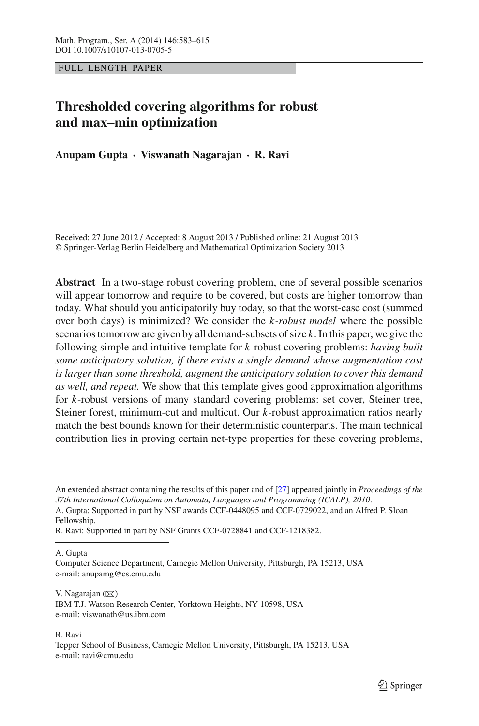FULL LENGTH PAPER

# **Thresholded covering algorithms for robust and max–min optimization**

**Anupam Gupta · Viswanath Nagarajan · R. Ravi**

Received: 27 June 2012 / Accepted: 8 August 2013 / Published online: 21 August 2013 © Springer-Verlag Berlin Heidelberg and Mathematical Optimization Society 2013

**Abstract** In a two-stage robust covering problem, one of several possible scenarios will appear tomorrow and require to be covered, but costs are higher tomorrow than today. What should you anticipatorily buy today, so that the worst-case cost (summed over both days) is minimized? We consider the *k-robust model* where the possible scenarios tomorrow are given by all demand-subsets of size *k*. In this paper, we give the following simple and intuitive template for *k*-robust covering problems: *having built some anticipatory solution, if there exists a single demand whose augmentation cost is larger than some threshold, augment the anticipatory solution to cover this demand as well, and repeat.* We show that this template gives good approximation algorithms for *k*-robust versions of many standard covering problems: set cover, Steiner tree, Steiner forest, minimum-cut and multicut. Our *k*-robust approximation ratios nearly match the best bounds known for their deterministic counterparts. The main technical contribution lies in proving certain net-type properties for these covering problems,

A. Gupta

V. Nagarajan  $(\boxtimes)$ IBM T.J. Watson Research Center, Yorktown Heights, NY 10598, USA e-mail: viswanath@us.ibm.com

R. Ravi

An extended abstract containing the results of this paper and of [\[27](#page-32-0)] appeared jointly in *Proceedings of the 37th International Colloquium on Automata, Languages and Programming (ICALP), 2010*. A. Gupta: Supported in part by NSF awards CCF-0448095 and CCF-0729022, and an Alfred P. Sloan Fellowship.

R. Ravi: Supported in part by NSF Grants CCF-0728841 and CCF-1218382.

Computer Science Department, Carnegie Mellon University, Pittsburgh, PA 15213, USA e-mail: anupamg@cs.cmu.edu

Tepper School of Business, Carnegie Mellon University, Pittsburgh, PA 15213, USA e-mail: ravi@cmu.edu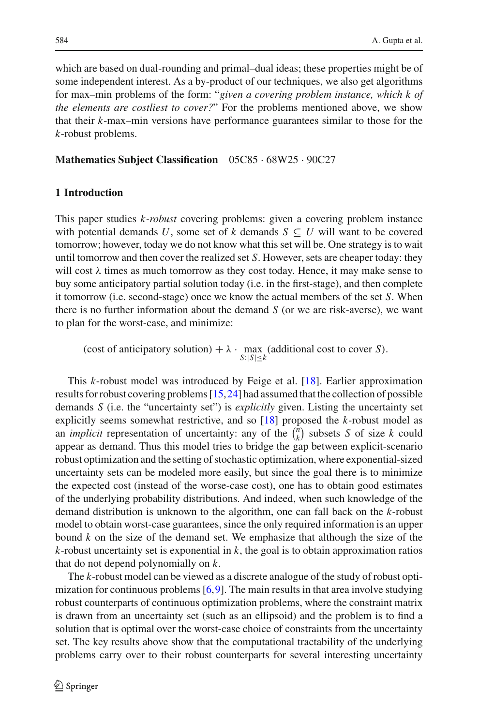which are based on dual-rounding and primal–dual ideas; these properties might be of some independent interest. As a by-product of our techniques, we also get algorithms for max–min problems of the form: "*given a covering problem instance, which k of the elements are costliest to cover?*" For the problems mentioned above, we show that their *k*-max–min versions have performance guarantees similar to those for the *k*-robust problems.

## **Mathematics Subject Classification** 05C85 · 68W25 · 90C27

### **1 Introduction**

This paper studies *k-robust* covering problems: given a covering problem instance with potential demands *U*, some set of *k* demands  $S \subseteq U$  will want to be covered tomorrow; however, today we do not know what this set will be. One strategy is to wait until tomorrow and then cover the realized set *S*. However, sets are cheaper today: they will cost  $\lambda$  times as much tomorrow as they cost today. Hence, it may make sense to buy some anticipatory partial solution today (i.e. in the first-stage), and then complete it tomorrow (i.e. second-stage) once we know the actual members of the set *S*. When there is no further information about the demand *S* (or we are risk-averse), we want to plan for the worst-case, and minimize:

(cost of anticipatory solution) +  $\lambda \cdot \max_{S:|S| \leq k}$  (additional cost to cover *S*).

This *k*-robust model was introduced by Feige et al. [\[18\]](#page-32-1). Earlier approximation results for robust covering problems [\[15](#page-31-0),[24](#page-32-2)] had assumed that the collection of possible demands *S* (i.e. the "uncertainty set") is *explicitly* given. Listing the uncertainty set explicitly seems somewhat restrictive, and so [\[18](#page-32-1)] proposed the *k*-robust model as an *implicit* representation of uncertainty: any of the  $\binom{n}{k}$  $\binom{n}{k}$  subsets *S* of size *k* could appear as demand. Thus this model tries to bridge the gap between explicit-scenario robust optimization and the setting of stochastic optimization, where exponential-sized uncertainty sets can be modeled more easily, but since the goal there is to minimize the expected cost (instead of the worse-case cost), one has to obtain good estimates of the underlying probability distributions. And indeed, when such knowledge of the demand distribution is unknown to the algorithm, one can fall back on the *k*-robust model to obtain worst-case guarantees, since the only required information is an upper bound *k* on the size of the demand set. We emphasize that although the size of the  $k$ -robust uncertainty set is exponential in  $k$ , the goal is to obtain approximation ratios that do not depend polynomially on *k*.

The *k*-robust model can be viewed as a discrete analogue of the study of robust optimization for continuous problems  $[6,9]$  $[6,9]$  $[6,9]$ . The main results in that area involve studying robust counterparts of continuous optimization problems, where the constraint matrix is drawn from an uncertainty set (such as an ellipsoid) and the problem is to find a solution that is optimal over the worst-case choice of constraints from the uncertainty set. The key results above show that the computational tractability of the underlying problems carry over to their robust counterparts for several interesting uncertainty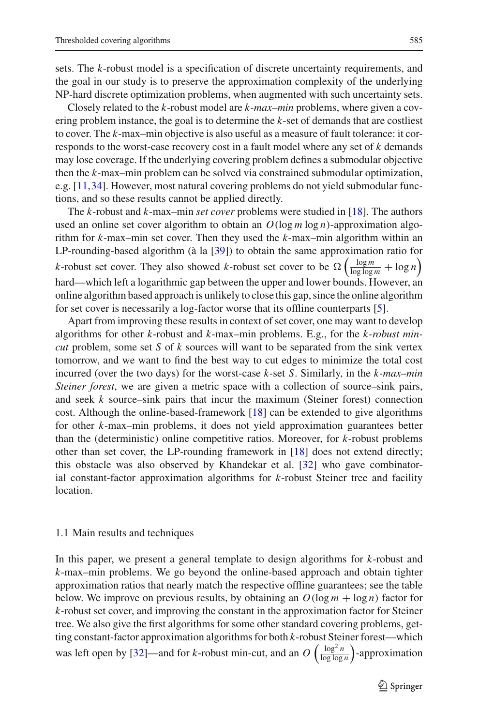sets. The *k*-robust model is a specification of discrete uncertainty requirements, and the goal in our study is to preserve the approximation complexity of the underlying NP-hard discrete optimization problems, when augmented with such uncertainty sets.

Closely related to the *k*-robust model are *k-max–min* problems, where given a covering problem instance, the goal is to determine the *k*-set of demands that are costliest to cover. The *k*-max–min objective is also useful as a measure of fault tolerance: it corresponds to the worst-case recovery cost in a fault model where any set of *k* demands may lose coverage. If the underlying covering problem defines a submodular objective then the *k*-max–min problem can be solved via constrained submodular optimization, e.g. [\[11,](#page-31-3)[34\]](#page-32-3). However, most natural covering problems do not yield submodular functions, and so these results cannot be applied directly.

The *k*-robust and *k*-max–min *set cover* problems were studied in [\[18\]](#page-32-1). The authors used an online set cover algorithm to obtain an  $O(\log m \log n)$ -approximation algorithm for *k*-max–min set cover. Then they used the *k*-max–min algorithm within an LP-rounding-based algorithm (à la [\[39\]](#page-32-4)) to obtain the same approximation ratio for *k*-robust set cover. They also showed *k*-robust set cover to be  $\Omega\left(\frac{\log m}{\log\log m} + \log n\right)$ hard—which left a logarithmic gap between the upper and lower bounds. However, an online algorithm based approach is unlikely to close this gap, since the online algorithm for set cover is necessarily a log-factor worse that its offline counterparts [\[5](#page-31-4)].

Apart from improving these results in context of set cover, one may want to develop algorithms for other *k*-robust and *k*-max–min problems. E.g., for the *k-robust mincut* problem, some set *S* of *k* sources will want to be separated from the sink vertex tomorrow, and we want to find the best way to cut edges to minimize the total cost incurred (over the two days) for the worst-case *k*-set *S*. Similarly, in the *k-max–min Steiner forest*, we are given a metric space with a collection of source–sink pairs, and seek *k* source–sink pairs that incur the maximum (Steiner forest) connection cost. Although the online-based-framework [\[18](#page-32-1)] can be extended to give algorithms for other *k*-max–min problems, it does not yield approximation guarantees better than the (deterministic) online competitive ratios. Moreover, for *k*-robust problems other than set cover, the LP-rounding framework in [\[18\]](#page-32-1) does not extend directly; this obstacle was also observed by Khandekar et al. [\[32\]](#page-32-5) who gave combinatorial constant-factor approximation algorithms for *k*-robust Steiner tree and facility location.

#### 1.1 Main results and techniques

In this paper, we present a general template to design algorithms for *k*-robust and *k*-max–min problems. We go beyond the online-based approach and obtain tighter approximation ratios that nearly match the respective offline guarantees; see the table below. We improve on previous results, by obtaining an  $O(\log m + \log n)$  factor for *k*-robust set cover, and improving the constant in the approximation factor for Steiner tree. We also give the first algorithms for some other standard covering problems, getting constant-factor approximation algorithms for both *k*-robust Steiner forest—which was left open by [\[32](#page-32-5)]—and for *k*-robust min-cut, and an  $O\left(\frac{\log^2 n}{\log \log n}\right)$ -approximation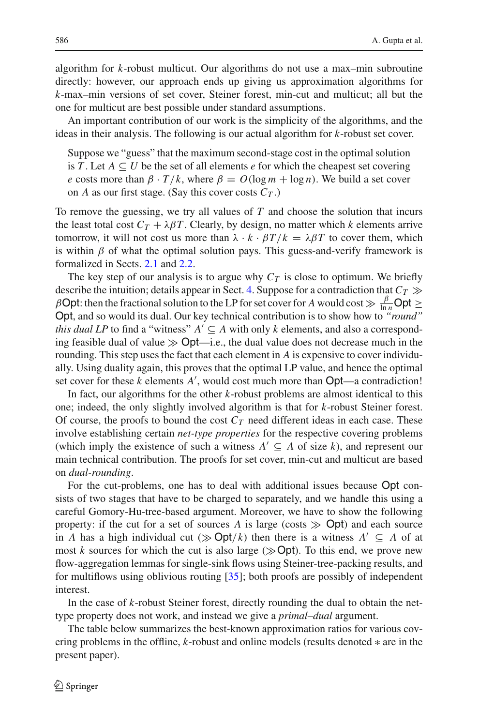algorithm for *k*-robust multicut. Our algorithms do not use a max–min subroutine directly: however, our approach ends up giving us approximation algorithms for *k*-max–min versions of set cover, Steiner forest, min-cut and multicut; all but the one for multicut are best possible under standard assumptions.

An important contribution of our work is the simplicity of the algorithms, and the ideas in their analysis. The following is our actual algorithm for *k*-robust set cover.

Suppose we "guess" that the maximum second-stage cost in the optimal solution is *T*. Let  $A \subseteq U$  be the set of all elements *e* for which the cheapest set covering *e* costs more than  $\beta \cdot T/k$ , where  $\beta = O(\log m + \log n)$ . We build a set cover on *A* as our first stage. (Say this cover costs  $C_T$ .)

To remove the guessing, we try all values of *T* and choose the solution that incurs the least total cost  $C_T + \lambda \beta T$ . Clearly, by design, no matter which *k* elements arrive tomorrow, it will not cost us more than  $\lambda \cdot k \cdot \beta T / k = \lambda \beta T$  to cover them, which is within  $\beta$  of what the optimal solution pays. This guess-and-verify framework is formalized in Sects. [2.1](#page-6-0) and [2.2.](#page-8-0)

The key step of our analysis is to argue why  $C_T$  is close to optimum. We briefly describe the intuition; details appear in Sect. [4.](#page-12-0) Suppose for a contradiction that  $C_T \gg$  $\beta$ Opt: then the fractional solution to the LP for set cover for *A* would cost  $\gg \frac{\beta}{\ln n}$ Opt  $\geq$ Opt, and so would its dual. Our key technical contribution is to show how to *"round" this dual LP* to find a "witness"  $A' \subseteq A$  with only *k* elements, and also a corresponding feasible dual of value  $\gg$  Opt—i.e., the dual value does not decrease much in the rounding. This step uses the fact that each element in *A* is expensive to cover individually. Using duality again, this proves that the optimal LP value, and hence the optimal set cover for these *k* elements *A* , would cost much more than Opt—a contradiction!

In fact, our algorithms for the other *k*-robust problems are almost identical to this one; indeed, the only slightly involved algorithm is that for *k*-robust Steiner forest. Of course, the proofs to bound the cost  $C_T$  need different ideas in each case. These involve establishing certain *net-type properties* for the respective covering problems (which imply the existence of such a witness  $A' \subseteq A$  of size k), and represent our main technical contribution. The proofs for set cover, min-cut and multicut are based on *dual-rounding*.

For the cut-problems, one has to deal with additional issues because Opt consists of two stages that have to be charged to separately, and we handle this using a careful Gomory-Hu-tree-based argument. Moreover, we have to show the following property: if the cut for a set of sources  $\hat{A}$  is large (costs  $\gg$  Opt) and each source in *A* has a high individual cut ( $\gg$  Opt/*k*) then there is a witness  $A' \subseteq A$  of at most *k* sources for which the cut is also large  $(\gg$  Opt). To this end, we prove new flow-aggregation lemmas for single-sink flows using Steiner-tree-packing results, and for multiflows using oblivious routing [\[35](#page-32-6)]; both proofs are possibly of independent interest.

In the case of *k*-robust Steiner forest, directly rounding the dual to obtain the nettype property does not work, and instead we give a *primal–dual* argument.

The table below summarizes the best-known approximation ratios for various covering problems in the offline, *k*-robust and online models (results denoted ∗ are in the present paper).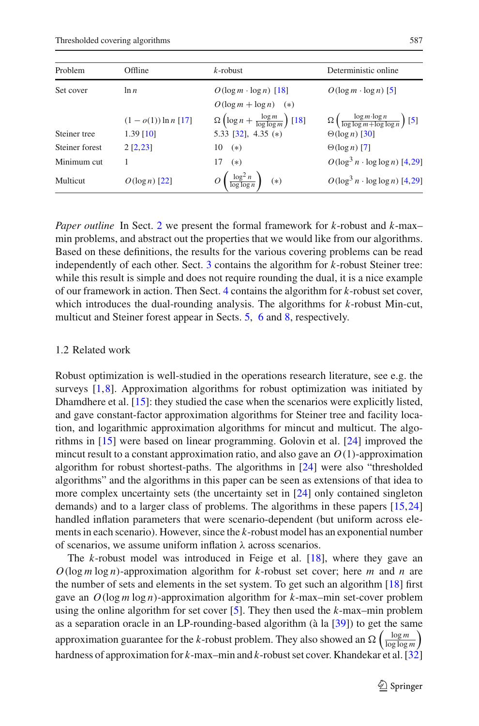Thresholded covering algorithms 587

| Problem        | Offline                                | $k$ -robust                                                                                     | Deterministic online                                                                                    |
|----------------|----------------------------------------|-------------------------------------------------------------------------------------------------|---------------------------------------------------------------------------------------------------------|
| Set cover      | $\ln n$                                | $O(\log m \cdot \log n)$ [18]<br>$O(\log m + \log n)$ (*)                                       | $O(\log m \cdot \log n)$ [5]                                                                            |
| Steiner tree   | $(1 - o(1)) \ln n$ [17]<br>$1.39$ [10] | $\Omega\left(\log n + \frac{\log m}{\log\log m}\right)$ [18]<br>5.33 [32], 4.35 (*)             | $\Omega\left(\frac{\log m \cdot \log n}{\log \log m + \log \log n}\right)$ [5]<br>$\Theta(\log n)$ [30] |
| Steiner forest | $2$ [2,23]                             | $10 \quad (*)$                                                                                  | $\Theta(\log n)$ [7]                                                                                    |
| Minimum cut    |                                        | $(*)$<br>17                                                                                     | $O(\log^3 n \cdot \log \log n)$ [4,29]                                                                  |
| Multicut       | $O(\log n)$ [22]                       | $O\left(\frac{\log^2 n}{\log \log n}\right)$<br>$O(\log^3 n \cdot \log \log n)$ [4,29]<br>$(*)$ |                                                                                                         |

*Paper outline* In Sect. [2](#page-5-0) we present the formal framework for *k*-robust and *k*-max– min problems, and abstract out the properties that we would like from our algorithms. Based on these definitions, the results for the various covering problems can be read independently of each other. Sect. [3](#page-9-0) contains the algorithm for *k*-robust Steiner tree: while this result is simple and does not require rounding the dual, it is a nice example of our framework in action. Then Sect. [4](#page-12-0) contains the algorithm for *k*-robust set cover, which introduces the dual-rounding analysis. The algorithms for *k*-robust Min-cut, multicut and Steiner forest appear in Sects. [5,](#page-17-0) [6](#page-21-0) and [8,](#page-27-0) respectively.

#### 1.2 Related work

Robust optimization is well-studied in the operations research literature, see e.g. the surveys  $[1,8]$  $[1,8]$  $[1,8]$  $[1,8]$ . Approximation algorithms for robust optimization was initiated by Dhamdhere et al. [\[15\]](#page-31-0): they studied the case when the scenarios were explicitly listed, and gave constant-factor approximation algorithms for Steiner tree and facility location, and logarithmic approximation algorithms for mincut and multicut. The algorithms in [\[15](#page-31-0)] were based on linear programming. Golovin et al. [\[24\]](#page-32-2) improved the mincut result to a constant approximation ratio, and also gave an  $O(1)$ -approximation algorithm for robust shortest-paths. The algorithms in [\[24\]](#page-32-2) were also "thresholded algorithms" and the algorithms in this paper can be seen as extensions of that idea to more complex uncertainty sets (the uncertainty set in [\[24](#page-32-2)] only contained singleton demands) and to a larger class of problems. The algorithms in these papers [\[15,](#page-31-0)[24\]](#page-32-2) handled inflation parameters that were scenario-dependent (but uniform across elements in each scenario). However, since the *k*-robust model has an exponential number of scenarios, we assume uniform inflation  $\lambda$  across scenarios.

The *k*-robust model was introduced in Feige et al. [\[18\]](#page-32-1), where they gave an *O*(log *m* log *n*)-approximation algorithm for *k*-robust set cover; here *m* and *n* are the number of sets and elements in the set system. To get such an algorithm [\[18\]](#page-32-1) first gave an *O*(log *m* log *n*)-approximation algorithm for *k*-max–min set-cover problem using the online algorithm for set cover [\[5](#page-31-4)]. They then used the *k*-max–min problem as a separation oracle in an LP-rounding-based algorithm (à la [\[39\]](#page-32-4)) to get the same approximation guarantee for the *k*-robust problem. They also showed an  $\Omega\left(\frac{\log m}{\log \log m}\right)$ hardness of approximation for *k*-max–min and *k*-robust set cover. Khandekar et al. [\[32\]](#page-32-5)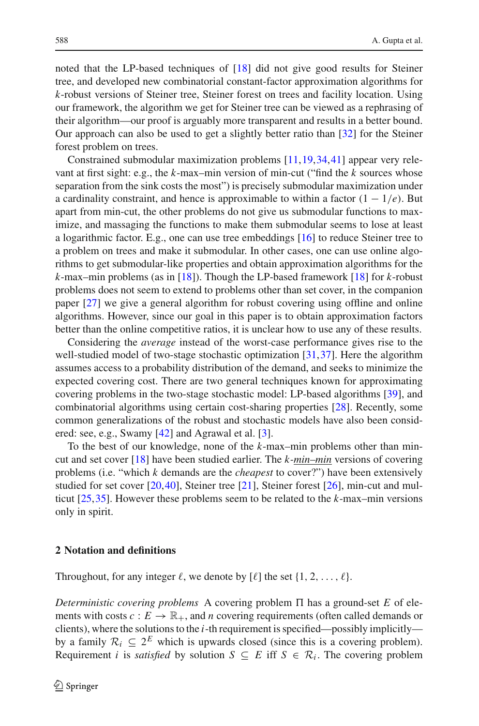noted that the LP-based techniques of [\[18](#page-32-1)] did not give good results for Steiner tree, and developed new combinatorial constant-factor approximation algorithms for *k*-robust versions of Steiner tree, Steiner forest on trees and facility location. Using our framework, the algorithm we get for Steiner tree can be viewed as a rephrasing of their algorithm—our proof is arguably more transparent and results in a better bound. Our approach can also be used to get a slightly better ratio than [\[32\]](#page-32-5) for the Steiner forest problem on trees.

Constrained submodular maximization problems [\[11](#page-31-3)[,19](#page-32-11),[34](#page-32-3),[41\]](#page-32-12) appear very relevant at first sight: e.g., the *k*-max–min version of min-cut ("find the *k* sources whose separation from the sink costs the most") is precisely submodular maximization under a cardinality constraint, and hence is approximable to within a factor  $(1 - 1/e)$ . But apart from min-cut, the other problems do not give us submodular functions to maximize, and massaging the functions to make them submodular seems to lose at least a logarithmic factor. E.g., one can use tree embeddings [\[16](#page-31-12)] to reduce Steiner tree to a problem on trees and make it submodular. In other cases, one can use online algorithms to get submodular-like properties and obtain approximation algorithms for the *k*-max–min problems (as in [\[18](#page-32-1)]). Though the LP-based framework [\[18](#page-32-1)] for *k*-robust problems does not seem to extend to problems other than set cover, in the companion paper [\[27](#page-32-0)] we give a general algorithm for robust covering using offline and online algorithms. However, since our goal in this paper is to obtain approximation factors better than the online competitive ratios, it is unclear how to use any of these results.

Considering the *average* instead of the worst-case performance gives rise to the well-studied model of two-stage stochastic optimization [\[31](#page-32-13)[,37\]](#page-32-14). Here the algorithm assumes access to a probability distribution of the demand, and seeks to minimize the expected covering cost. There are two general techniques known for approximating covering problems in the two-stage stochastic model: LP-based algorithms [\[39](#page-32-4)], and combinatorial algorithms using certain cost-sharing properties [\[28\]](#page-32-15). Recently, some common generalizations of the robust and stochastic models have also been considered: see, e.g., Swamy [\[42\]](#page-32-16) and Agrawal et al. [\[3](#page-31-13)].

To the best of our knowledge, none of the *k*-max–min problems other than mincut and set cover [\[18\]](#page-32-1) have been studied earlier. The *k-min–min* versions of covering problems (i.e. "which *k* demands are the *cheapest* to cover?") have been extensively studied for set cover [\[20](#page-32-17)[,40](#page-32-18)], Steiner tree [\[21\]](#page-32-19), Steiner forest [\[26\]](#page-32-20), min-cut and multicut [\[25](#page-32-21),[35](#page-32-6)]. However these problems seem to be related to the *k*-max–min versions only in spirit.

## <span id="page-5-0"></span>**2 Notation and definitions**

Throughout, for any integer  $\ell$ , we denote by  $[\ell]$  the set  $\{1, 2, \ldots, \ell\}.$ 

*Deterministic covering problems* A covering problem  $\Pi$  has a ground-set  $E$  of elements with costs  $c: E \to \mathbb{R}_+$ , and *n* covering requirements (often called demands or clients), where the solutions to the *i*-th requirement is specified—possibly implicitly by a family  $\mathcal{R}_i \subset 2^E$  which is upwards closed (since this is a covering problem). Requirement *i* is *satisfied* by solution  $S \subseteq E$  iff  $S \in \mathcal{R}_i$ . The covering problem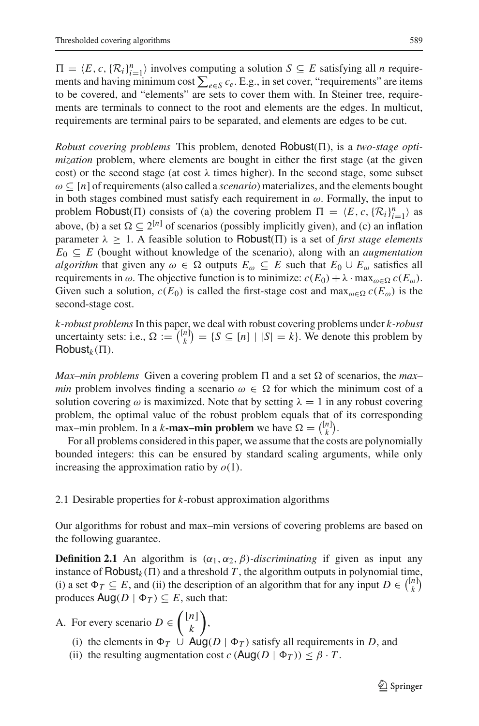$\Pi = \langle E, c, \{R_i\}_{i=1}^n \rangle$  involves computing a solution  $S \subseteq E$  satisfying all *n* requirements and having minimum cost ∑<sub>e∈S</sub> *c*<sub>e</sub>. E.g., in set cover, "requirements" are items to be covered, and "elements" are sets to cover them with. In Steiner tree, requirements are terminals to connect to the root and elements are the edges. In multicut, requirements are terminal pairs to be separated, and elements are edges to be cut.

*Robust covering problems* This problem, denoted  $Robust(\Pi)$ , is a *two-stage optimization* problem, where elements are bought in either the first stage (at the given cost) or the second stage (at cost  $\lambda$  times higher). In the second stage, some subset ω ⊆ [*n*] of requirements (also called a *scenario*) materializes, and the elements bought in both stages combined must satisfy each requirement in  $\omega$ . Formally, the input to problem Robust( $\Pi$ ) consists of (a) the covering problem  $\Pi = \langle E, c, \{ \mathcal{R}_i \}_{i=1}^n \rangle$  as above, (b) a set  $\Omega \subseteq 2^{[n]}$  of scenarios (possibly implicitly given), and (c) an inflation parameter  $\lambda \geq 1$ . A feasible solution to **Robust**( $\Pi$ ) is a set of *first stage elements*  $E_0 \subseteq E$  (bought without knowledge of the scenario), along with an *augmentation algorithm* that given any  $\omega \in \Omega$  outputs  $E_{\omega} \subseteq E$  such that  $E_0 \cup E_{\omega}$  satisfies all requirements in ω. The objective function is to minimize:  $c(E_0) + \lambda \cdot \max_{\omega \in \Omega} c(E_\omega)$ . Given such a solution,  $c(E_0)$  is called the first-stage cost and max<sub> $\omega \in \Omega$ </sub>  $c(E_\omega)$  is the second-stage cost.

*k-robust problems*In this paper, we deal with robust covering problems under *k-robust* uncertainty sets: i.e.,  $\Omega := \binom{[n]}{k}$  $\binom{n}{k} = \{S \subseteq [n] \mid |S| = k\}.$  We denote this problem by  $Robust_k(\Pi)$ .

*Max–min problems* Given a covering problem  $\Pi$  and a set  $\Omega$  of scenarios, the *max– min* problem involves finding a scenario  $\omega \in \Omega$  for which the minimum cost of a solution covering  $\omega$  is maximized. Note that by setting  $\lambda = 1$  in any robust covering problem, the optimal value of the robust problem equals that of its corresponding max–min problem. In a *k***-max–min problem** we have  $\Omega = \binom{[n]}{k}$  $\binom{n}{k}$ .

For all problems considered in this paper, we assume that the costs are polynomially bounded integers: this can be ensured by standard scaling arguments, while only increasing the approximation ratio by  $o(1)$ .

<span id="page-6-0"></span>2.1 Desirable properties for *k*-robust approximation algorithms

<span id="page-6-1"></span>Our algorithms for robust and max–min versions of covering problems are based on the following guarantee.

**Definition 2.1** An algorithm is  $(\alpha_1, \alpha_2, \beta)$ *-discriminating* if given as input any instance of  $\text{Robust}_k(\Pi)$  and a threshold *T*, the algorithm outputs in polynomial time, (i) a set  $\Phi_T \subseteq E$ , and (ii) the description of an algorithm that for any input  $D \in \binom{[n]}{k}$  $\binom{n}{k}$ produces  $\text{Aug}(D \mid \Phi_T) \subseteq E$ , such that:

#### A. For every scenario  $D \in \binom{[n]}{k}$ *k* ,

- (i) the elements in  $\Phi_T \cup \text{Aug}(D | \Phi_T)$  satisfy all requirements in *D*, and
- (ii) the resulting augmentation cost  $c (\text{Aug}(D \mid \Phi_T)) \leq \beta \cdot T$ .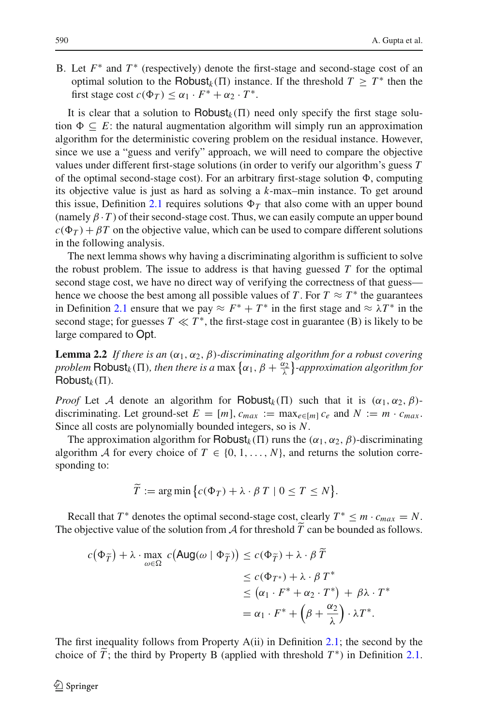B. Let  $F^*$  and  $T^*$  (respectively) denote the first-stage and second-stage cost of an optimal solution to the Robust<sub>k</sub>( $\Pi$ ) instance. If the threshold  $T \geq T^*$  then the first stage cost  $c(\Phi_T) \leq \alpha_1 \cdot F^* + \alpha_2 \cdot T^*$ .

It is clear that a solution to  $\text{Robust}_k(\Pi)$  need only specify the first stage solution  $\Phi \subseteq E$ : the natural augmentation algorithm will simply run an approximation algorithm for the deterministic covering problem on the residual instance. However, since we use a "guess and verify" approach, we will need to compare the objective values under different first-stage solutions (in order to verify our algorithm's guess *T* of the optimal second-stage cost). For an arbitrary first-stage solution  $\Phi$ , computing its objective value is just as hard as solving a *k*-max–min instance. To get around this issue, Definition [2.1](#page-6-1) requires solutions  $\Phi_T$  that also come with an upper bound (namely  $\beta \cdot T$ ) of their second-stage cost. Thus, we can easily compute an upper bound  $c(\Phi_T) + \beta T$  on the objective value, which can be used to compare different solutions in the following analysis.

The next lemma shows why having a discriminating algorithm is sufficient to solve the robust problem. The issue to address is that having guessed  $T$  for the optimal second stage cost, we have no direct way of verifying the correctness of that guess hence we choose the best among all possible values of *T*. For  $T \approx T^*$  the guarantees in Definition [2.1](#page-6-1) ensure that we pay  $\approx F^* + T^*$  in the first stage and  $\approx \lambda T^*$  in the second stage; for guesses  $T \ll T^*$ , the first-stage cost in guarantee (B) is likely to be large compared to Opt.

<span id="page-7-0"></span>**Lemma 2.2** *If there is an*  $(\alpha_1, \alpha_2, \beta)$ *-discriminating algorithm for a robust covering problem*  $\text{Robust}_k(\Pi)$ , then there is a max  $\{\alpha_1, \beta + \frac{\alpha_2}{\lambda}\}\text{-approximation algorithm for}$  $Robust_k(\Pi)$ .

*Proof* Let *A* denote an algorithm for **Robust**<sub>k</sub>( $\Pi$ ) such that it is  $(\alpha_1, \alpha_2, \beta)$ discriminating. Let ground-set  $E = [m]$ ,  $c_{max} := max_{e \in [m]} c_e$  and  $N := m \cdot c_{max}$ . Since all costs are polynomially bounded integers, so is *N*.

The approximation algorithm for  $\text{Robust}_k(\Pi)$  runs the ( $\alpha_1, \alpha_2, \beta$ )-discriminating algorithm *A* for every choice of  $T \in \{0, 1, ..., N\}$ , and returns the solution corresponding to:

$$
\widetilde{T} := \arg\min \big\{ c(\Phi_T) + \lambda \cdot \beta \, T \mid 0 \le T \le N \big\}.
$$

Recall that  $T^*$  denotes the optimal second-stage cost, clearly  $T^* \leq m \cdot c_{max} = N$ . The objective value of the solution from *A* for threshold *T* can be bounded as follows.

$$
c(\Phi_{\widetilde{T}}) + \lambda \cdot \max_{\omega \in \Omega} c(\text{Aug}(\omega \mid \Phi_{\widetilde{T}})) \leq c(\Phi_{\widetilde{T}}) + \lambda \cdot \beta \widetilde{T}
$$
  
\n
$$
\leq c(\Phi_{T^*}) + \lambda \cdot \beta \, T^*
$$
  
\n
$$
\leq (\alpha_1 \cdot F^* + \alpha_2 \cdot T^*) + \beta \lambda \cdot T^*
$$
  
\n
$$
= \alpha_1 \cdot F^* + (\beta + \frac{\alpha_2}{\lambda}) \cdot \lambda T^*.
$$

The first inequality follows from Property A(ii) in Definition [2.1;](#page-6-1) the second by the choice of  $\tilde{T}$ ; the third by Property B (applied with threshold  $T^*$ ) in Definition [2.1.](#page-6-1)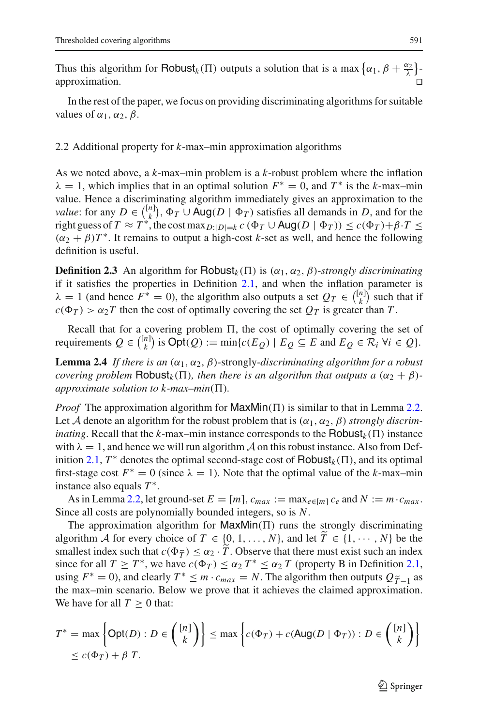Thus this algorithm for  $\text{Robust}_k(\Pi)$  outputs a solution that is a max  $\{\alpha_1, \beta + \frac{\alpha_2}{\lambda}\}$ approximation.

In the rest of the paper, we focus on providing discriminating algorithms for suitable values of  $\alpha_1, \alpha_2, \beta$ .

#### <span id="page-8-0"></span>2.2 Additional property for *k*-max–min approximation algorithms

As we noted above, a *k*-max–min problem is a *k*-robust problem where the inflation  $\lambda = 1$ , which implies that in an optimal solution  $F^* = 0$ , and  $T^*$  is the *k*-max–min value. Hence a discriminating algorithm immediately gives an approximation to the *value*: for any  $D \in \binom{[n]}{k}$  $\mathcal{F}_k^{n_1}$ ,  $\Phi_T \cup \text{Aug}(D \mid \Phi_T)$  satisfies all demands in *D*, and for the right guess of  $T \approx T^*$ , the cost max $_{D:|D|=k} c$  ( $\Phi_T \cup \text{Aug}(D | \Phi_T)$ )  $\leq c(\Phi_T)+\beta \cdot T \leq$  $(\alpha_2 + \beta)T^*$ . It remains to output a high-cost *k*-set as well, and hence the following definition is useful.

<span id="page-8-1"></span>**Definition 2.3** An algorithm for Robust<sub>k</sub>( $\Pi$ ) is ( $\alpha_1, \alpha_2, \beta$ )-*strongly discriminating* if it satisfies the properties in Definition [2.1,](#page-6-1) and when the inflation parameter is  $\lambda = 1$  (and hence  $F^* = 0$ ), the algorithm also outputs a set  $Q_T \in \binom{[n]}{k}$  $\binom{n}{k}$  such that if  $c(\Phi_T) > \alpha_2 T$  then the cost of optimally covering the set  $Q_T$  is greater than *T*.

Recall that for a covering problem  $\Pi$ , the cost of optimally covering the set of requirements  $Q \in \binom{[n]}{k}$  $\binom{n}{k}$  is  $\text{Opt}(Q) := \min\{c(E_Q) \mid E_Q \subseteq E \text{ and } E_Q \in \mathcal{R}_i \ \forall i \in Q\}.$ 

<span id="page-8-2"></span>**Lemma 2.4** *If there is an*  $(\alpha_1, \alpha_2, \beta)$ -strongly-discriminating algorithm for a robust *covering problem* Robust<sub>k</sub>( $\Pi$ ), then there is an algorithm that outputs a  $(\alpha_2 + \beta)$ *approximate solution to k-max–min*( $\Pi$ ).

*Proof* The approximation algorithm for  $MaxMin(\Pi)$  is similar to that in Lemma [2.2.](#page-7-0) Let *A* denote an algorithm for the robust problem that is  $(\alpha_1, \alpha_2, \beta)$  *strongly discriminating*. Recall that the *k*-max–min instance corresponds to the  $\text{Robust}_k(\Pi)$  instance with  $\lambda = 1$ , and hence we will run algorithm A on this robust instance. Also from Def-inition [2.1,](#page-6-1)  $T^*$  denotes the optimal second-stage cost of Robust<sub>k</sub>( $\Pi$ ), and its optimal first-stage cost  $F^* = 0$  (since  $\lambda = 1$ ). Note that the optimal value of the *k*-max–min instance also equals *T* <sup>∗</sup>.

As in Lemma [2.2,](#page-7-0) let ground-set  $E = [m]$ ,  $c_{max} := \max_{e \in [m]} c_e$  and  $N := m \cdot c_{max}$ . Since all costs are polynomially bounded integers, so is *N*.

The approximation algorithm for  $MaxMin(\Pi)$  runs the strongly discriminating algorithm *A* for every choice of  $T \in \{0, 1, ..., N\}$ , and let  $T \in \{1, \dots, N\}$  be the smallest index such that  $c(\Phi_{\tilde{T}}) \leq \alpha_2 \cdot T$ . Observe that there must exist such an index<br>since for all  $T \leq T^*$  we have  $c(\Phi_{\tilde{T}}) \leq \alpha_1 T^* \leq \alpha_2 T$  (property B in Definition 2.1) since for all  $T \geq T^*$ , we have  $c(\Phi_T) \leq \alpha_2 T^* \leq \alpha_2 T$  (property B in Definition [2.1,](#page-6-1) using  $F^* = 0$ ), and clearly  $T^* \le m \cdot c_{max} = N$ . The algorithm then outputs  $Q_{\tilde{T}-1}$  as the max–min scenario. Below we prove that it achieves the claimed approximation. We have for all  $T \geq 0$  that:

$$
T^* = \max \left\{ \text{Opt}(D) : D \in \binom{[n]}{k} \right\} \le \max \left\{ c(\Phi_T) + c(\text{Aug}(D \mid \Phi_T)) : D \in \binom{[n]}{k} \right\}
$$
  
 
$$
\le c(\Phi_T) + \beta \ T.
$$

 $\mathcal{L}$  Springer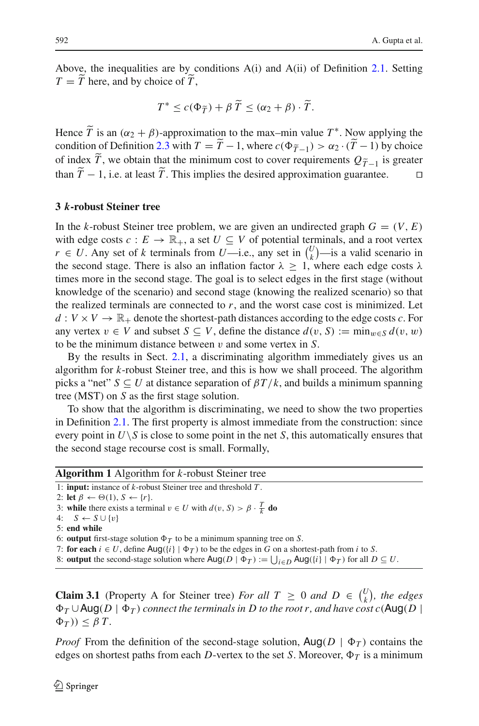Above, the inequalities are by conditions A(i) and A(ii) of Definition [2.1.](#page-6-1) Setting  $T = T$  here, and by choice of  $T$ ,

$$
T^* \leq c(\Phi_{\widetilde{T}}) + \beta \widetilde{T} \leq (\alpha_2 + \beta) \cdot \widetilde{T}.
$$

Hence  $\tilde{T}$  is an  $(\alpha_2 + \beta)$ -approximation to the max–min value  $T^*$ . Now applying the condition of Definition [2.3](#page-8-1) with  $T = T - 1$ , where  $c(\Phi_{T-1}^{\sim}) > \alpha_2 \cdot (T - 1)$  by choice of index *T*, we obtain that the minimum cost to cover requirements  $Q_{\tilde{T}-1}$  is greater than  $T-1$ , i.e. at least  $T$ . This implies the desired approximation guarantee.  $\Box$ 

#### <span id="page-9-0"></span>**3** *k***-robust Steiner tree**

In the *k*-robust Steiner tree problem, we are given an undirected graph  $G = (V, E)$ with edge costs  $c: E \to \mathbb{R}_+$ , a set  $U \subseteq V$  of potential terminals, and a root vertex *r* ∈ *U*. Any set of *k* terminals from *U*—i.e., any set in  $\binom{U}{k}$  $\binom{U}{k}$ —is a valid scenario in the second stage. There is also an inflation factor  $\lambda \geq 1$ , where each edge costs  $\lambda$ times more in the second stage. The goal is to select edges in the first stage (without knowledge of the scenario) and second stage (knowing the realized scenario) so that the realized terminals are connected to *r*, and the worst case cost is minimized. Let  $d: V \times V \to \mathbb{R}_+$  denote the shortest-path distances according to the edge costs *c*. For any vertex  $v \in V$  and subset  $S \subseteq V$ , define the distance  $d(v, S) := \min_{w \in S} d(v, w)$ to be the minimum distance between v and some vertex in *S*.

By the results in Sect. [2.1,](#page-6-0) a discriminating algorithm immediately gives us an algorithm for *k*-robust Steiner tree, and this is how we shall proceed. The algorithm picks a "net"  $S \subseteq U$  at distance separation of  $\beta T/k$ , and builds a minimum spanning tree (MST) on *S* as the first stage solution.

To show that the algorithm is discriminating, we need to show the two properties in Definition [2.1.](#page-6-1) The first property is almost immediate from the construction: since every point in  $U\setminus S$  is close to some point in the net *S*, this automatically ensures that the second stage recourse cost is small. Formally,

| <b>Algorithm 1</b> Algorithm for $k$ -robust Steiner tree                                                                                           |  |  |  |  |
|-----------------------------------------------------------------------------------------------------------------------------------------------------|--|--|--|--|
| 1: <b>input:</b> instance of $k$ -robust Steiner tree and threshold $T$ .                                                                           |  |  |  |  |
| 2: let $\beta \leftarrow \Theta(1)$ , $S \leftarrow \{r\}$ .                                                                                        |  |  |  |  |
| 3: while there exists a terminal $v \in U$ with $d(v, S) > \beta \cdot \frac{T}{k}$ do                                                              |  |  |  |  |
| 4: $S \leftarrow S \cup \{v\}$                                                                                                                      |  |  |  |  |
| 5: end while                                                                                                                                        |  |  |  |  |
| 6: output first-stage solution $\Phi_T$ to be a minimum spanning tree on S.                                                                         |  |  |  |  |
| 7: for each $i \in U$ , define Aug( $\{i\}   \Phi_T$ ) to be the edges in G on a shortest-path from i to S.                                         |  |  |  |  |
| 8: <b>output</b> the second-stage solution where $\text{Aug}(D   \Phi_T) := \bigcup_{i \in D} \text{Aug}(\{i\}   \Phi_T)$ for all $D \subseteq U$ . |  |  |  |  |

<span id="page-9-1"></span>**Claim 3.1** (Property A for Steiner tree) *For all*  $T \ge 0$  *and*  $D \in \binom{U}{k}$  $\binom{U}{k}$ , the edges  $\Phi_T \cup \mathsf{Aug}(D \mid \Phi_T)$  connect the terminals in  $D$  to the root r, and have cost  $c(\mathsf{Aug}(D \mid \Phi_T))$  $\Phi_T$  $)$  $\leq \beta T$ .

*Proof* From the definition of the second-stage solution,  $\text{Aug}(D \mid \Phi_T)$  contains the edges on shortest paths from each *D*-vertex to the set *S*. Moreover,  $\Phi_T$  is a minimum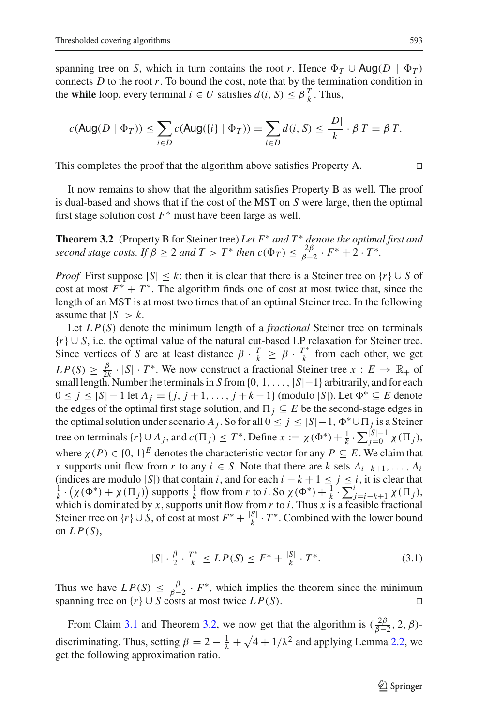spanning tree on *S*, which in turn contains the root *r*. Hence  $\Phi_T \cup \text{Aug}(D \mid \Phi_T)$ connects  $D$  to the root  $r$ . To bound the cost, note that by the termination condition in the **while** loop, every terminal  $i \in U$  satisfies  $d(i, S) \leq \beta \frac{T}{k}$ . Thus,

$$
c(\text{Aug}(D \mid \Phi_T)) \le \sum_{i \in D} c(\text{Aug}(\{i\} \mid \Phi_T)) = \sum_{i \in D} d(i, S) \le \frac{|D|}{k} \cdot \beta \, T = \beta \, T.
$$

This completes the proof that the algorithm above satisfies Property A.  $\Box$ 

It now remains to show that the algorithm satisfies Property B as well. The proof is dual-based and shows that if the cost of the MST on *S* were large, then the optimal first stage solution cost  $F^*$  must have been large as well.

<span id="page-10-0"></span>**Theorem 3.2** (Property B for Steiner tree) *Let F*<sup>∗</sup> *and T* <sup>∗</sup> *denote the optimal first and second stage costs. If*  $\beta \geq 2$  *and*  $T > T^*$  *then*  $c(\Phi_T) \leq \frac{2\beta}{\beta - 2} \cdot F^* + 2 \cdot T^*$ *.* 

*Proof* First suppose  $|S| \leq k$ : then it is clear that there is a Steiner tree on  $\{r\} \cup S$  of cost at most  $F^* + T^*$ . The algorithm finds one of cost at most twice that, since the length of an MST is at most two times that of an optimal Steiner tree. In the following assume that  $|S| > k$ .

Let *L P*(*S*) denote the minimum length of a *fractional* Steiner tree on terminals {*r*} ∪ *S*, i.e. the optimal value of the natural cut-based LP relaxation for Steiner tree. Since vertices of *S* are at least distance  $\beta \cdot \frac{T}{k} \ge \beta \cdot \frac{T^*}{k}$  from each other, we get  $LP(S) \geq \frac{\beta}{2k} \cdot |S| \cdot T^*$ . We now construct a fractional Steiner tree  $x : E \to \mathbb{R}_+$  of small length. Number the terminals in *S* from {0, 1, ..., |*S*|−1} arbitrarily, and for each  $0 \le j \le |S| - 1$  let  $A_j = \{j, j + 1, ..., j + k - 1\}$  (modulo |S|). Let  $\Phi^* \subseteq E$  denote the edges of the optimal first stage solution, and  $\Pi_j \subseteq E$  be the second-stage edges in the optimal solution under scenario *A<sub>j</sub>*. So for all  $0 \le j \le |S|-1$ ,  $\Phi^* \cup \Pi_j$  is a Steiner tree on terminals  $\{r\} \cup A_j$ , and  $c(\Pi_j) \leq T^*$ . Define  $x := \chi(\Phi^*) + \frac{1}{k} \cdot \sum_{j=0}^{|S|-1} \chi(\Pi_j)$ , where  $\chi(P) \in \{0, 1\}^E$  denotes the characteristic vector for any  $P \subseteq E$ . We claim that *x* supports unit flow from *r* to any  $i \text{ ∈ } S$ . Note that there are *k* sets  $A_{i-k+1}, \ldots, A_i$ (indices are modulo |S|) that contain *i*, and for each  $i - k + 1 \le j \le i$ , it is clear that  $\frac{1}{k} \cdot (\chi(\Phi^*) + \chi(\Pi_j))$  supports  $\frac{1}{k}$  flow from *r* to *i*. So  $\chi(\Phi^*) + \frac{1}{k} \cdot \sum_{j=i-k+1}^{i} \chi(\Pi_j)$ , which is dominated by *x*, supports unit flow from *r* to *i*. Thus *x* is a feasible fractional Steiner tree on  $\{r\} \cup S$ , of cost at most  $F^* + \frac{|S|}{k} \cdot T^*$ . Combined with the lower bound on  $LP(S)$ ,

$$
|S| \cdot \frac{\beta}{2} \cdot \frac{T^*}{k} \le LP(S) \le F^* + \frac{|S|}{k} \cdot T^*.
$$
 (3.1)

Thus we have  $LP(S) \leq \frac{\beta}{\beta-2} \cdot F^*$ , which implies the theorem since the minimum spanning tree on  $\{r\} \cup S$  costs at most twice  $LP(S)$ .

From Claim [3.1](#page-9-1) and Theorem [3.2,](#page-10-0) we now get that the algorithm is  $(\frac{2\beta}{\beta-2}, 2, \beta)$ discriminating. Thus, setting  $\beta = 2 - \frac{1}{\lambda} + \sqrt{4 + 1/\lambda^2}$  and applying Lemma [2.2,](#page-7-0) we get the following approximation ratio.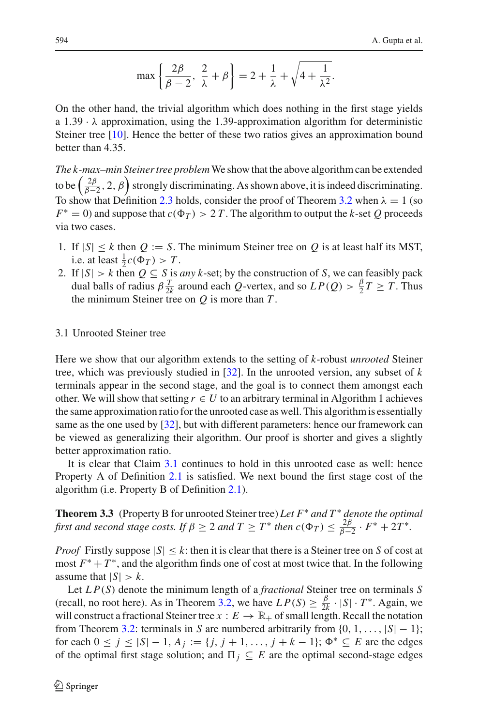$$
\max\left\{\frac{2\beta}{\beta-2},\ \frac{2}{\lambda}+\beta\right\}=2+\frac{1}{\lambda}+\sqrt{4+\frac{1}{\lambda^2}}.
$$

On the other hand, the trivial algorithm which does nothing in the first stage yields a  $1.39 \cdot \lambda$  approximation, using the 1.39-approximation algorithm for deterministic Steiner tree [\[10\]](#page-31-6). Hence the better of these two ratios gives an approximation bound better than 4.35.

*The k-max–min Steiner tree problem*We show that the above algorithm can be extended to be  $\left(\frac{2\beta}{\beta-2}, 2, \beta\right)$  strongly discriminating. As shown above, it is indeed discriminating. To show that Definition [2.3](#page-8-1) holds, consider the proof of Theorem [3.2](#page-10-0) when  $\lambda = 1$  (so  $F^* = 0$ ) and suppose that  $c(\Phi_T) > 2T$ . The algorithm to output the *k*-set *Q* proceeds via two cases.

- 1. If  $|S| \leq k$  then  $Q := S$ . The minimum Steiner tree on  $Q$  is at least half its MST, i.e. at least  $\frac{1}{2}c(\Phi_T) > T$ .
- 2. If  $|S| > k$  then  $Q \subseteq S$  is *any k*-set; by the construction of *S*, we can feasibly pack dual balls of radius  $\beta \frac{T}{2k}$  around each *Q*-vertex, and so  $LP(Q) > \frac{\beta}{2}T \geq T$ . Thus the minimum Steiner tree on *Q* is more than *T* .

## 3.1 Unrooted Steiner tree

Here we show that our algorithm extends to the setting of *k*-robust *unrooted* Steiner tree, which was previously studied in [\[32\]](#page-32-5). In the unrooted version, any subset of *k* terminals appear in the second stage, and the goal is to connect them amongst each other. We will show that setting  $r \in U$  to an arbitrary terminal in Algorithm 1 achieves the same approximation ratio for the unrooted case as well. This algorithm is essentially same as the one used by [\[32\]](#page-32-5), but with different parameters: hence our framework can be viewed as generalizing their algorithm. Our proof is shorter and gives a slightly better approximation ratio.

It is clear that Claim [3.1](#page-9-1) continues to hold in this unrooted case as well: hence Property A of Definition [2.1](#page-6-1) is satisfied. We next bound the first stage cost of the algorithm (i.e. Property B of Definition [2.1\)](#page-6-1).

**Theorem 3.3** (Property B for unrooted Steiner tree) *Let F*<sup>∗</sup> *and T* <sup>∗</sup> *denote the optimal first and second stage costs. If*  $\beta \geq 2$  *and*  $T \geq T^*$  *then*  $c(\Phi_T) \leq \frac{2\beta}{\beta-2} \cdot F^* + 2T^*$ *.* 

*Proof* Firstly suppose  $|S| \le k$ : then it is clear that there is a Steiner tree on *S* of cost at most  $F^* + T^*$ , and the algorithm finds one of cost at most twice that. In the following assume that  $|S| > k$ .

Let *L P*(*S*) denote the minimum length of a *fractional* Steiner tree on terminals *S* (recall, no root here). As in Theorem [3.2,](#page-10-0) we have  $LP(S) \ge \frac{\beta}{2k} \cdot |S| \cdot T^*$ . Again, we will construct a fractional Steiner tree  $x : E \to \mathbb{R}_+$  of small length. Recall the notation from Theorem [3.2:](#page-10-0) terminals in *S* are numbered arbitrarily from  $\{0, 1, \ldots, |S| - 1\}$ ; for each  $0 \le j \le |S| - 1$ ,  $A_j := \{j, j + 1, ..., j + k - 1\}$ ;  $\Phi^* \subseteq E$  are the edges of the optimal first stage solution; and  $\prod_j \subseteq E$  are the optimal second-stage edges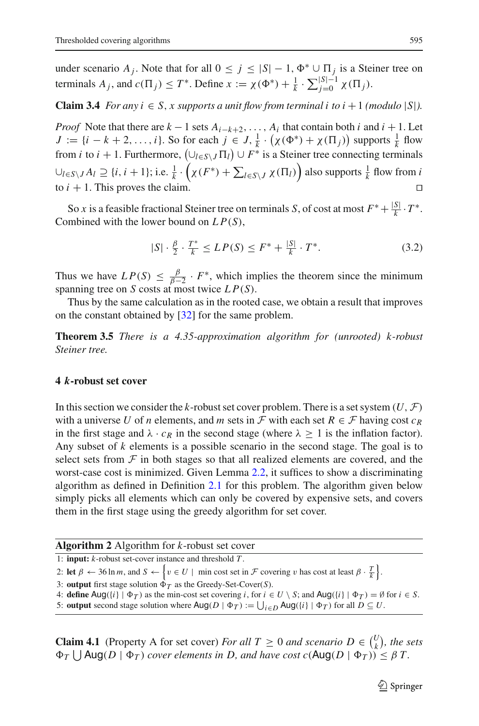under scenario  $A_j$ . Note that for all  $0 \le j \le |S| - 1$ ,  $\Phi^* \cup \Pi_j$  is a Steiner tree on terminals  $A_j$ , and  $c(\Pi_j) \leq T^*$ . Define  $x := \chi(\Phi^*) + \frac{1}{k} \cdot \sum_{j=0}^{|S|-1} \chi(\Pi_j)$ .

**Claim 3.4** *For any i*  $\in$  *S*, *x supports a unit flow from terminal i to i* + 1 *(modulo* |*S*|*)*.

*Proof* Note that there are  $k-1$  sets  $A_{i-k+2}, \ldots, A_i$  that contain both *i* and  $i+1$ . Let  $J := \{i - k + 2, \ldots, i\}$ . So for each  $j \in J$ ,  $\frac{1}{k} \cdot (\chi(\Phi^*) + \chi(\Pi_j))$  supports  $\frac{1}{k}$  flow from *i* to  $i + 1$ . Furthermore,  $(\cup_{l \in S \setminus J} \Pi_l) \cup F^*$  is a Steiner tree connecting terminals  $∪_{l∈S\setminus J}$  *A*<sub>*l*</sub> ⊇ {*i*, *i* + 1}; i.e.  $\frac{1}{k}$  ·  $(\chi(F^*) + \sum_{l ∈ S\setminus J} \chi(\Pi_l))$  also supports  $\frac{1}{k}$  flow from *i* to  $i + 1$ . This proves the claim.

So *x* is a feasible fractional Steiner tree on terminals *S*, of cost at most  $F^* + \frac{|S|}{k} \cdot T^*$ . Combined with the lower bound on *L P*(*S*),

$$
|S| \cdot \frac{\beta}{2} \cdot \frac{T^*}{k} \le LP(S) \le F^* + \frac{|S|}{k} \cdot T^*.
$$
 (3.2)

Thus we have  $LP(S) \leq \frac{\beta}{\beta-2} \cdot F^*$ , which implies the theorem since the minimum spanning tree on *S* costs at most twice *L P*(*S*).

Thus by the same calculation as in the rooted case, we obtain a result that improves on the constant obtained by [\[32](#page-32-5)] for the same problem.

**Theorem 3.5** *There is a 4.35-approximation algorithm for (unrooted) k-robust Steiner tree.*

## <span id="page-12-0"></span>**4** *k***-robust set cover**

In this section we consider the *k*-robust set cover problem. There is a set system  $(U, \mathcal{F})$ with a universe U of *n* elements, and *m* sets in  $\mathcal F$  with each set  $R \in \mathcal F$  having cost  $c_R$ in the first stage and  $\lambda \cdot c_R$  in the second stage (where  $\lambda \geq 1$  is the inflation factor). Any subset of *k* elements is a possible scenario in the second stage. The goal is to select sets from  $F$  in both stages so that all realized elements are covered, and the worst-case cost is minimized. Given Lemma [2.2,](#page-7-0) it suffices to show a discriminating algorithm as defined in Definition [2.1](#page-6-1) for this problem. The algorithm given below simply picks all elements which can only be covered by expensive sets, and covers them in the first stage using the greedy algorithm for set cover.

| <b>Algorithm 2</b> Algorithm for $k$ -robust set cover              |  |
|---------------------------------------------------------------------|--|
| 1: <b>input:</b> $k$ -robust set-cover instance and threshold $T$ . |  |

2: **let**  $\beta \leftarrow 36 \ln m$ , and  $S \leftarrow \left\{ v \in U \mid \text{min cost set in } \mathcal{F} \text{ covering } v \text{ has cost at least } \beta \cdot \frac{T}{k} \right\}.$ 

3: **output** first stage solution  $\Phi_T$  as the Greedy-Set-Cover(*S*).

4: **define**  $\text{Aug}(\{i\} | \Phi_T)$  as the min-cost set covering *i*, for  $i \in U \setminus S$ ; and  $\text{Aug}(\{i\} | \Phi_T) = \emptyset$  for  $i \in S$ .

5: **output** second stage solution where  $\text{Aug}(D | \Phi_T) := \bigcup_{i \in D} \text{Aug}(\{i\} | \Phi_T)$  for all  $D \subseteq U$ .

<span id="page-12-1"></span>**Claim 4.1** (Property A for set cover) *For all*  $T \ge 0$  *and scenario*  $D \in \binom{U}{k}$  $\binom{U}{k}$ , the sets  $\Phi_T \bigcup \text{Aug}(D \mid \Phi_T)$  *cover elements in D, and have cost c*( $\text{Aug}(D \mid \Phi_T)$ )  $\leq \beta T$ .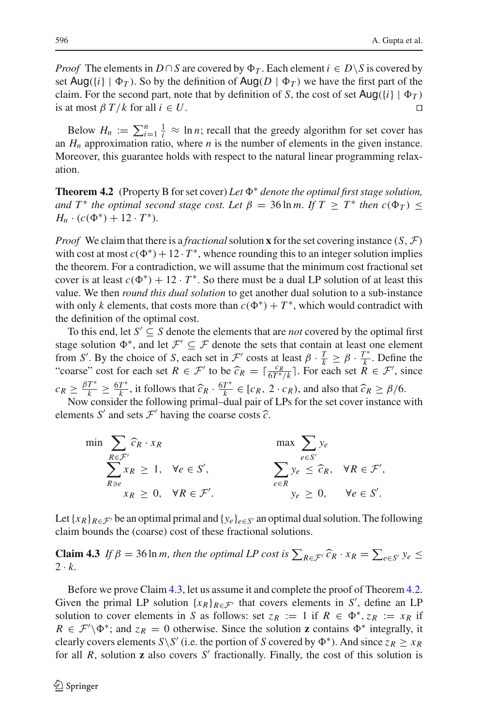*Proof* The elements in  $D \cap S$  are covered by  $\Phi_T$ . Each element  $i \in D \setminus S$  is covered by set  $\text{Aug}(\{i\} | \Phi_T)$ . So by the definition of  $\text{Aug}(D | \Phi_T)$  we have the first part of the claim. For the second part, note that by definition of *S*, the cost of set  $\text{Aug}(\{i \} | \Phi_T)$ is at most  $\beta T/k$  for all  $i \in U$ .

Below  $H_n := \sum_{i=1}^n \frac{1}{i} \approx \ln n$ ; recall that the greedy algorithm for set cover has an  $H_n$  approximation ratio, where  $n$  is the number of elements in the given instance. Moreover, this guarantee holds with respect to the natural linear programming relaxation.

<span id="page-13-1"></span>**Theorem 4.2** (Property B for set cover) *Let* <sup>∗</sup> *denote the optimal first stage solution, and*  $T^*$  *the optimal second stage cost. Let*  $\beta = 36 \ln m$ . If  $T \geq T^*$  *then*  $c(\Phi_T) \leq$  $H_n \cdot (c(\Phi^*) + 12 \cdot T^*)$ .

*Proof* We claim that there is a *fractional* solution **x** for the set covering instance  $(S, \mathcal{F})$ with cost at most  $c(\Phi^*) + 12 \cdot T^*$ , whence rounding this to an integer solution implies the theorem. For a contradiction, we will assume that the minimum cost fractional set cover is at least  $c(\Phi^*) + 12 \cdot T^*$ . So there must be a dual LP solution of at least this value. We then *round this dual solution* to get another dual solution to a sub-instance with only *k* elements, that costs more than  $c(\Phi^*) + T^*$ , which would contradict with the definition of the optimal cost.

To this end, let  $S' \subseteq S$  denote the elements that are *not* covered by the optimal first stage solution  $\Phi^*$ , and let  $\mathcal{F}' \subseteq \mathcal{F}$  denote the sets that contain at least one element from *S'*. By the choice of *S*, each set in *F'* costs at least  $\beta \cdot \frac{T}{k} \ge \beta \cdot \frac{T^*}{k}$ . Define the "coarse" cost for each set  $R \in \mathcal{F}'$  to be  $\widehat{c}_R = \lceil \frac{c_R}{6T^*/k} \rceil$ . For each set  $\widehat{R} \in \mathcal{F}'$ , since  $c_R \ge \frac{\beta T^*}{k} \ge \frac{6T^*}{k}$ , it follows that  $\widehat{c}_R \cdot \frac{6T^*}{k} \in [c_R, 2 \cdot c_R)$ , and also that  $\widehat{c}_R \ge \beta/6$ .<br>Now consider the following primal-dual pair of LPs for the set cover instance with

elements *S'* and sets  $\mathcal{F}'$  having the coarse costs  $\widehat{c}$ .

$$
\min \sum_{R \in \mathcal{F}'} \widehat{c}_R \cdot x_R \qquad \qquad \max \sum_{e \in S'} y_e
$$
\n
$$
\sum_{R \ni e} x_R \ge 1, \quad \forall e \in S', \qquad \sum_{e \in R} y_e \le \widehat{c}_R, \quad \forall R \in \mathcal{F}',
$$
\n
$$
x_R \ge 0, \quad \forall R \in \mathcal{F}'.
$$
\n
$$
\min \sum_{e \in S'} y_e
$$
\n
$$
\sum_{e \in S'} y_e \le \widehat{c}_R, \quad \forall R \in \mathcal{F}',
$$

Let  $\{x_R\}_{R \in \mathcal{F}}$  be an optimal primal and  $\{y_e\}_{e \in S}$  an optimal dual solution. The following claim bounds the (coarse) cost of these fractional solutions.

<span id="page-13-0"></span>**Claim 4.3** *If*  $\beta = 36 \ln m$ , then the optimal LP cost is  $\sum_{R \in \mathcal{F}} \widehat{c}_R \cdot x_R = \sum_{e \in S'} y_e \le$  $2 \cdot k$ .

Before we prove Claim [4.3,](#page-13-0) let us assume it and complete the proof of Theorem [4.2.](#page-13-1) Given the primal LP solution  $\{x_R\}_{R \in \mathcal{F}}$  that covers elements in *S'*, define an LP solution to cover elements in *S* as follows: set  $z_R := 1$  if  $R \in \Phi^*$ ,  $z_R := x_R$  if  $R \in \mathcal{F}' \backslash \Phi^*$ ; and  $z_R = 0$  otherwise. Since the solution **z** contains  $\Phi^*$  integrally, it clearly covers elements *S*\*S'* (i.e. the portion of *S* covered by  $\Phi^*$ ). And since  $z_R \ge x_R$ for all *R*, solution **z** also covers *S'* fractionally. Finally, the cost of this solution is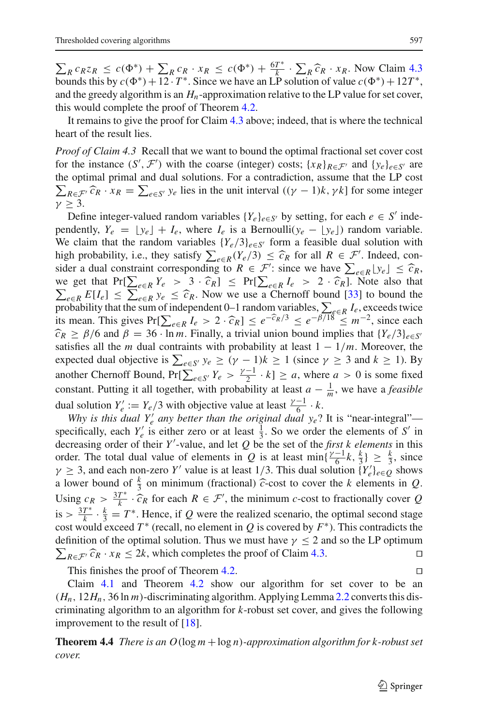$\sum_{R} c_{R} z_{R} \leq c(\Phi^{*}) + \sum_{R} c_{R} \cdot x_{R} \leq c(\Phi^{*}) + \frac{6T^{*}}{k} \cdot \sum_{R} \widehat{c}_{R} \cdot x_{R}$ . Now Claim [4.3](#page-13-0) bounds this by  $c(\Phi^{*}) + 12 \cdot T^{*}$ . Since we have an LP solution of value  $c(\Phi^{*}) + 12T^{*}$ , and the greedy algorithm is an  $H_n$ -approximation relative to the LP value for set cover, this would complete the proof of Theorem [4.2.](#page-13-1)

It remains to give the proof for Claim [4.3](#page-13-0) above; indeed, that is where the technical heart of the result lies.

*Proof of Claim 4.3* Recall that we want to bound the optimal fractional set cover cost for the instance  $(S', \mathcal{F}')$  with the coarse (integer) costs;  $\{x_R\}_{R \in \mathcal{F}'}$  and  $\{y_e\}_{e \in S'}$  are the optimal primal and dual solutions. For a contradiction, assume that the LP cost  $\sum_{R \in \mathcal{F}} \hat{c}_R \cdot x_R = \sum_{e \in S'} y_e$  lies in the unit interval  $((\gamma - 1)k, \gamma k]$  for some integer  $\gamma \geq 3$ .

Define integer-valued random variables  ${Y_e}_{e \in S'}$  by setting, for each  $e \in S'$  independently,  $Y_e = \lfloor y_e \rfloor + I_e$ , where  $I_e$  is a Bernoulli( $y_e - \lfloor y_e \rfloor$ ) random variable. We claim that the random variables  ${Y_e/3}_{e \in S'}$  form a feasible dual solution with high probability, i.e., they satisfy  $\sum_{e \in R} (Y_e/3) \leq \hat{c}_R$  for all  $R \in \mathcal{F}'$ . Indeed, con-<br>sider a dual constraint corresponding to  $R \in \mathcal{F}'$  since we have  $\sum_{e \in R} |y_e| \leq \hat{c}_R$ . sider a dual constraint corresponding to  $R \in \mathcal{F}'$ : since we have  $\sum_{e \in R} |y_e| \leq \hat{c}_R$ , we get that  $Pr[\sum_{e \in K} |y_e|] \leq \hat{c}_R$ ,  $I \geq 2$ ,  $\hat{c}_R$  Note also that we get that  $Pr[\sum_{e \in R} Y_e > 3 \cdot \hat{c}_R] \le Pr[\sum_{e \in R} I_e > 2 \cdot \hat{c}_R]$ . Note also that  $\sum_{e \in R} I_e > 2 \cdot \hat{c}_R$ . Note also that  $\sum_{e \in R} E[I_e] \leq \sum_{e \in R} y_e \leq \hat{c}_R$ . Now we use a Chernoff bound [\[33](#page-32-22)] to bound the probability that the sum of independent 0–1 random variables  $\sum_{e \in R} I$  exceeds twice probability that the sum of independent 0–1 random variables,  $\sum_{e \in R} I_e$ , exceeds twice its mean. This gives  $Pr[\sum_{e \in R} I_e > 2 \cdot \hat{c}_R] \leq e^{-\hat{c}_R/3} \leq e^{-\beta/18} \leq m^{-2}$ , since each  $\hat{c}_R > \beta/6$  and  $\beta = 36$ . In m. Finally, a trivial union bound implies that  $JY/3$ ,  $\alpha$  $\hat{c}_R \ge \beta/6$  and  $\beta = 36 \cdot \ln m$ . Finally, a trivial union bound implies that  $\{Y_e/3\}_{e \in S'}$ satisfies all the *m* dual contraints with probability at least  $1 - \frac{1}{m}$ . Moreover, the expected dual objective is  $\sum_{e \in S'} y_e \ge (\gamma - 1)k \ge 1$  (since  $\gamma \ge 3$  and  $k \ge 1$ ). By another Chernoff Bound,  $Pr[\sum_{e \in S'} Y_e > \frac{\gamma - 1}{2} \cdot k] \ge a$ , where  $a > 0$  is some fixed constant. Putting it all together, with probability at least  $a - \frac{1}{m}$ , we have a *feasible* dual solution  $Y_e' := Y_e/3$  with objective value at least  $\frac{\gamma - 1}{6} \cdot k$ .

*Why is this dual*  $Y'_e$  *any better than the original dual*  $y_e$ *? It is "near-integral"* specifically, each  $Y'_e$  is either zero or at least  $\frac{1}{3}$ . So we order the elements of *S'* in decreasing order of their *Y* -value, and let *Q* be the set of the *first k elements* in this order. The total dual value of elements in *Q* is at least min $\left\{\frac{\gamma-1}{6}k, \frac{k}{3}\right\} \geq \frac{k}{3}$ , since  $\gamma \geq 3$ , and each non-zero *Y'* value is at least 1/3. This dual solution  $\{Y_e'\}_{e \in Q}$  shows a lower bound of  $\frac{k}{3}$  on minimum (fractional)  $\hat{c}$ -cost to cover the *k* elements in *Q*. Using  $c_R > \frac{3T^*}{k} \cdot \hat{c}_R$  for each  $R \in \mathcal{F}'$ , the minimum *c*-cost to fractionally cover *Q* is  $> \frac{3T^*}{k} \cdot \frac{k}{3} = T^*$ . Hence, if *Q* were the realized scenario, the optimal second stage cost would exceed  $T^*$  (recall, no element in  $Q$  is covered by  $F^*$ ). This contradicts the definition of the optimal solution. Thus we must have  $\gamma \leq 2$  and so the LP optimum  $\sum_{R \in \mathcal{F}} \hat{c}_R \cdot x_R \leq 2k$ , which completes the proof of Claim [4.3.](#page-13-0)

This finishes the proof of Theorem [4.2.](#page-13-1)

Claim [4.1](#page-12-1) and Theorem [4.2](#page-13-1) show our algorithm for set cover to be an  $(H_n, 12H_n, 36 \ln m)$ -discriminating algorithm. Applying Lemma [2.2](#page-7-0) converts this discriminating algorithm to an algorithm for *k*-robust set cover, and gives the following improvement to the result of [\[18\]](#page-32-1).

**Theorem 4.4** *There is an O*(log *m* +log *n*)*-approximation algorithm for k-robust set cover.*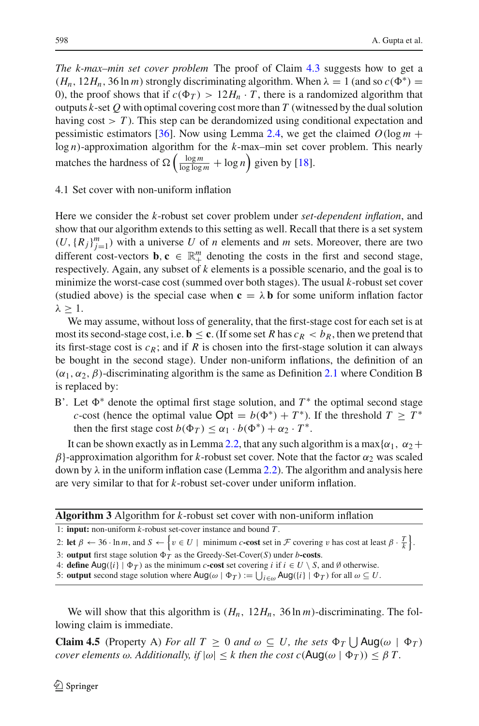*The k-max–min set cover problem* The proof of Claim [4.3](#page-13-0) suggests how to get a  $(H_n, 12H_n, 36 \ln m)$  strongly discriminating algorithm. When  $\lambda = 1$  (and so  $c(\Phi^*) =$ 0), the proof shows that if  $c(\Phi_T) > 12H_n \cdot T$ , there is a randomized algorithm that outputs *k*-set *Q* with optimal covering cost more than *T* (witnessed by the dual solution having  $cost > T$ ). This step can be derandomized using conditional expectation and pessimistic estimators [\[36\]](#page-32-23). Now using Lemma [2.4,](#page-8-2) we get the claimed  $O(\log m +$ log *n*)-approximation algorithm for the *k*-max–min set cover problem. This nearly matches the hardness of  $\Omega\left(\frac{\log m}{\log\log m} + \log n\right)$  given by [\[18\]](#page-32-1).

#### 4.1 Set cover with non-uniform inflation

Here we consider the *k*-robust set cover problem under *set-dependent inflation*, and show that our algorithm extends to this setting as well. Recall that there is a set system  $(U, {R_j}_{j=1}^m)$  with a universe U of *n* elements and *m* sets. Moreover, there are two different cost-vectors **b**,  $\mathbf{c} \in \mathbb{R}^m_+$  denoting the costs in the first and second stage, respectively. Again, any subset of *k* elements is a possible scenario, and the goal is to minimize the worst-case cost (summed over both stages). The usual *k*-robust set cover (studied above) is the special case when  $c = \lambda b$  for some uniform inflation factor  $λ > 1$ .

We may assume, without loss of generality, that the first-stage cost for each set is at most its second-stage cost, i.e.  $\mathbf{b} \leq \mathbf{c}$ . (If some set *R* has  $c_R < b_R$ , then we pretend that its first-stage cost is  $c_R$ ; and if *R* is chosen into the first-stage solution it can always be bought in the second stage). Under non-uniform inflations, the definition of an  $(\alpha_1, \alpha_2, \beta)$ -discriminating algorithm is the same as Definition [2.1](#page-6-1) where Condition B is replaced by:

B'. Let  $\Phi^*$  denote the optimal first stage solution, and  $T^*$  the optimal second stage *c*-cost (hence the optimal value  $Opt = b(\Phi^*) + T^*$ ). If the threshold  $T \geq T^*$ then the first stage cost  $b(\Phi_T) \leq \alpha_1 \cdot b(\Phi^*) + \alpha_2 \cdot T^*$ .

It can be shown exactly as in Lemma [2.2,](#page-7-0) that any such algorithm is a max $\{\alpha_1, \alpha_2+\}$  $\beta$ }-approximation algorithm for *k*-robust set cover. Note that the factor  $\alpha_2$  was scaled down by  $\lambda$  in the uniform inflation case (Lemma [2.2\)](#page-7-0). The algorithm and analysis here are very similar to that for *k*-robust set-cover under uniform inflation.

**Algorithm 3** Algorithm for *k*-robust set cover with non-uniform inflation

1: **input:** non-uniform *k*-robust set-cover instance and bound *T* .

2: **let**  $\beta \leftarrow 36 \cdot \ln m$ , and  $S \leftarrow \left\{ v \in U \mid \text{minimum } c\text{-cost set in } \mathcal{F} \text{ covering } v \text{ has cost at least } \beta \cdot \frac{T}{k} \right\}.$ 

3: **output** first stage solution  $\Phi_T$  as the Greedy-Set-Cover(*S*) under *b*-costs.

4: **define** Aug({*i*}  $| \Phi_T$ ) as the minimum *c***-cost** set covering *i* if  $i \in U \setminus S$ , and  $\emptyset$  otherwise.

5: **output** second stage solution where  $\text{Aug}(\omega | \Phi_T) := \bigcup_{i \in \omega} \text{Aug}(\{i\} | \Phi_T)$  for all  $\omega \subseteq U$ .

We will show that this algorithm is (*Hn*, 12*Hn*, 36 ln *m*)-discriminating. The following claim is immediate.

**Claim 4.5** (Property A) *For all*  $T \geq 0$  *and*  $\omega \subseteq U$ *, the sets*  $\Phi_T \bigcup \text{Aug}(\omega \mid \Phi_T)$ *cover elements*  $\omega$ *. Additionally, if*  $|\omega| \leq k$  *then the cost c*( $\text{Aug}(\omega | \Phi_T)$ )  $\leq \beta T$ *.*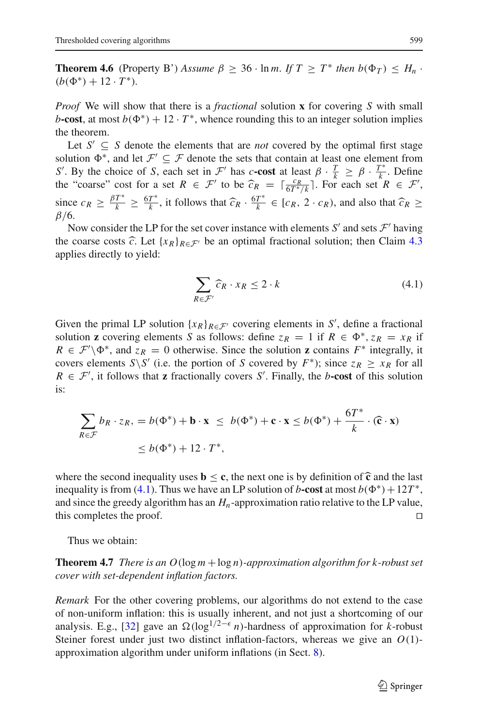**Theorem 4.6** (Property B') *Assume*  $\beta \geq 36 \cdot \ln m$ . If  $T \geq T^*$  *then*  $b(\Phi_T) \leq H_n$ .  $(b(\Phi^*) + 12 \cdot T^*)$ .

*Proof* We will show that there is a *fractional* solution **x** for covering *S* with small *b***-cost**, at most  $b(\Phi^*) + 12 \cdot T^*$ , whence rounding this to an integer solution implies the theorem.

Let  $S' \subseteq S$  denote the elements that are *not* covered by the optimal first stage solution  $\Phi^*$ , and let  $\mathcal{F}' \subseteq \mathcal{F}$  denote the sets that contain at least one element from *S*<sup>
.</sup> By the choice of *S*, each set in *F*<sup></sup> has *c***-cost** at least  $\beta \cdot \frac{T}{k} \geq \beta \cdot \frac{T^*}{k}$ . Define the "coarse" cost for a set  $R \in \mathcal{F}'$  to be  $\widehat{c}_R = \lceil \frac{c_R}{6T^* / k} \rceil$ . For each set  $R \in \mathcal{F}'$ , since  $c_R \geq \frac{\beta T^*}{k} \geq \frac{6T^*}{k}$ , it follows that  $\widehat{c}_R \cdot \frac{6T^*}{k} \in [c_R, 2 \cdot c_R)$ , and also that  $\widehat{c}_R \geq \beta/6$ β/6.

Now consider the LP for the set cover instance with elements  $S'$  and sets  $\mathcal{F}'$  having the coarse costs  $\hat{c}$ . Let  $\{x_R\}_{R \in \mathcal{F}}$  be an optimal fractional solution; then Claim [4.3](#page-13-0) applies directly to yield:

$$
\sum_{R \in \mathcal{F}'} \widehat{c}_R \cdot x_R \le 2 \cdot k \tag{4.1}
$$

<span id="page-16-0"></span>Given the primal LP solution  ${x_R}_{R \in \mathcal{F}}$  covering elements in *S'*, define a fractional solution **z** covering elements *S* as follows: define  $z_R = 1$  if  $R \in \Phi^*$ ,  $z_R = x_R$  if  $R \in \mathcal{F}'\backslash \Phi^*$ , and  $z_R = 0$  otherwise. Since the solution **z** contains  $F^*$  integrally, it covers elements *S*\*S'* (i.e. the portion of *S* covered by  $F^*$ ); since  $z_R \ge x_R$  for all  $R \in \mathcal{F}'$ , it follows that **z** fractionally covers *S*<sup>'</sup>. Finally, the *b***-cost** of this solution is:

$$
\sum_{R \in \mathcal{F}} b_R \cdot z_R, = b(\Phi^*) + \mathbf{b} \cdot \mathbf{x} \le b(\Phi^*) + \mathbf{c} \cdot \mathbf{x} \le b(\Phi^*) + \frac{6T^*}{k} \cdot (\mathbf{\hat{c}} \cdot \mathbf{x})
$$
  
 
$$
\le b(\Phi^*) + 12 \cdot T^*,
$$

where the second inequality uses  $\mathbf{b} \leq \mathbf{c}$ , the next one is by definition of  $\hat{\mathbf{c}}$  and the last inequality is from [\(4.1\)](#page-16-0). Thus we have an LP solution of *b***-cost** at most  $b(\Phi^*) + 12T^*$ , and since the greedy algorithm has an  $H_n$ -approximation ratio relative to the LP value, this completes the proof.  $\Box$ 

Thus we obtain:

**Theorem 4.7** *There is an O*(log *m* +log *n*)*-approximation algorithm for k-robust set cover with set-dependent inflation factors.*

*Remark* For the other covering problems, our algorithms do not extend to the case of non-uniform inflation: this is usually inherent, and not just a shortcoming of our analysis. E.g., [\[32\]](#page-32-5) gave an  $\Omega(\log^{1/2-\epsilon} n)$ -hardness of approximation for *k*-robust Steiner forest under just two distinct inflation-factors, whereas we give an *O*(1) approximation algorithm under uniform inflations (in Sect. [8\)](#page-27-0).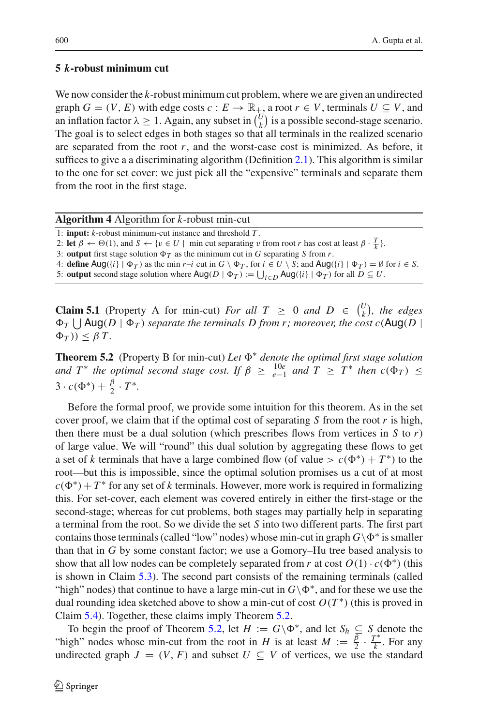## <span id="page-17-0"></span>**5** *k***-robust minimum cut**

We now consider the *k*-robust minimum cut problem, where we are given an undirected graph  $G = (V, E)$  with edge costs  $c : E \to \mathbb{R}_+$ , a root  $r \in V$ , terminals  $U \subseteq V$ , and an inflation factor  $\lambda \geq 1$ . Again, any subset in  $\binom{U}{k}$  $\binom{U}{k}$  is a possible second-stage scenario. The goal is to select edges in both stages so that all terminals in the realized scenario are separated from the root  $r$ , and the worst-case cost is minimized. As before, it suffices to give a a discriminating algorithm (Definition [2.1\)](#page-6-1). This algorithm is similar to the one for set cover: we just pick all the "expensive" terminals and separate them from the root in the first stage.

| Algorithm 4 Algorithm for $k$ -robust min-cut |  |  |  |
|-----------------------------------------------|--|--|--|
|-----------------------------------------------|--|--|--|

- 1: **input:** *k*-robust minimum-cut instance and threshold *T* .
- 2: **let**  $\beta \leftarrow \Theta(1)$ , and  $S \leftarrow \{v \in U \mid \text{min cut separating } v \text{ from root } r \text{ has cost at least } \beta \cdot \frac{T}{k} \}.$
- 3: **output** first stage solution  $\Phi_T$  as the minimum cut in *G* separating *S* from *r*.
- 4: **define**  $\text{Aug}(\{i\} | \Phi_T)$  as the min *r*-*i* cut in  $G \setminus \Phi_T$ , for  $i \in U \setminus S$ ; and  $\text{Aug}(\{i\} | \Phi_T) = \emptyset$  for  $i \in S$ .
- 5: **output** second stage solution where  $\text{Aug}(D | \Phi_T) := \bigcup_{i \in D} \text{Aug}(\{i\} | \Phi_T)$  for all  $D \subseteq U$ .

<span id="page-17-2"></span>**Claim 5.1** (Property A for min-cut) *For all*  $T \ge 0$  *and*  $D \in \binom{U}{k}$  $\binom{U}{k}$ , the edges  $\Phi_T \bigcup$  Aug(*D* |  $\Phi_T$ ) separate the terminals *D* from r; moreover, the cost c(Aug(*D* |  $\Phi_T$  $)$  $\leq \beta T$ .

<span id="page-17-1"></span>**Theorem 5.2** (Property B for min-cut) Let  $\Phi^*$  denote the optimal first stage solution *and*  $T^*$  *the optimal second stage cost. If*  $\beta \ge \frac{10e}{e-1}$  *and*  $T \ge T^*$  *then*  $c(\Phi_T) \le$  $3 \cdot c(\Phi^*) + \frac{\beta}{2} \cdot T^*$ .

Before the formal proof, we provide some intuition for this theorem. As in the set cover proof, we claim that if the optimal cost of separating  $S$  from the root  $r$  is high, then there must be a dual solution (which prescribes flows from vertices in  $S$  to  $r$ ) of large value. We will "round" this dual solution by aggregating these flows to get a set of *k* terminals that have a large combined flow (of value >  $c(\Phi^*) + T^*$ ) to the root—but this is impossible, since the optimal solution promises us a cut of at most  $c(\Phi^*) + T^*$  for any set of *k* terminals. However, more work is required in formalizing this. For set-cover, each element was covered entirely in either the first-stage or the second-stage; whereas for cut problems, both stages may partially help in separating a terminal from the root. So we divide the set *S* into two different parts. The first part contains those terminals (called "low" nodes) whose min-cut in graph  $G \setminus \Phi^*$  is smaller than that in *G* by some constant factor; we use a Gomory–Hu tree based analysis to show that all low nodes can be completely separated from *r* at cost  $O(1) \cdot c(\Phi^*)$  (this is shown in Claim [5.3\)](#page-18-0). The second part consists of the remaining terminals (called "high" nodes) that continue to have a large min-cut in  $G \backslash \Phi^*$ , and for these we use the dual rounding idea sketched above to show a min-cut of cost  $O(T^*)$  (this is proved in Claim [5.4\)](#page-18-1). Together, these claims imply Theorem [5.2.](#page-17-1)

To begin the proof of Theorem [5.2,](#page-17-1) let  $H := G \backslash \Phi^*$ , and let  $S_h \subseteq S$  denote the "high" nodes whose min-cut from the root in *H* is at least  $M := \frac{\overline{\beta}}{2} \cdot \frac{T^*}{k}$ . For any undirected graph  $J = (V, F)$  and subset  $U \subseteq V$  of vertices, we use the standard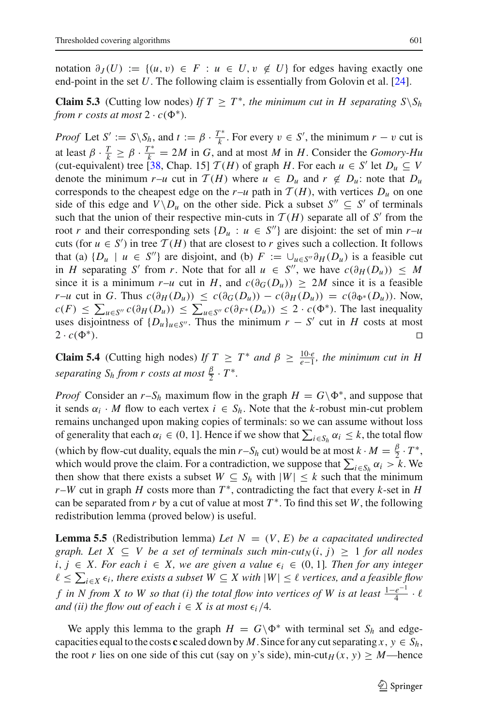<span id="page-18-0"></span>notation  $\partial_J(U) := \{(u, v) \in F : u \in U, v \notin U\}$  for edges having exactly one end-point in the set *U*. The following claim is essentially from Golovin et al. [\[24](#page-32-2)].

**Claim 5.3** (Cutting low nodes) *If*  $T \geq T^*$ , the minimum cut in H separating  $S \setminus S_h$ *from r costs at most*  $2 \cdot c(\Phi^*)$ *.* 

*Proof* Let  $S' := S \setminus S_h$ , and  $t := \beta \cdot \frac{T^*}{k}$ . For every  $v \in S'$ , the minimum  $r - v$  cut is at least  $\beta \cdot \frac{T}{k} \ge \beta \cdot \frac{T^*}{k} = 2M$  in *G*, and at most *M* in *H*. Consider the *Gomory-Hu* (cut-equivalent) tree [\[38,](#page-32-24) Chap. 15]  $\mathcal{T}(H)$  of graph *H*. For each  $u \in S'$  let  $D_u \subseteq V$ denote the minimum  $r-u$  cut in  $T(H)$  where  $u \in D_u$  and  $r \notin D_u$ : note that  $D_u$ corresponds to the cheapest edge on the  $r-u$  path in  $T(H)$ , with vertices  $D_u$  on one side of this edge and  $V\backslash D_u$  on the other side. Pick a subset  $S'' \subseteq S'$  of terminals such that the union of their respective min-cuts in  $T(H)$  separate all of S' from the root *r* and their corresponding sets  $\{D_u : u \in S''\}$  are disjoint: the set of min *r*-*u* cuts (for  $u \in S'$ ) in tree  $T(H)$  that are closest to *r* gives such a collection. It follows that (a)  $\{D_u \mid u \in S''\}$  are disjoint, and (b)  $F := \bigcup_{u \in S''} \partial_H(D_u)$  is a feasible cut in *H* separating *S'* from *r*. Note that for all  $u \in S''$ , we have  $c(\partial_H(D_u)) \leq M$ since it is a minimum  $r-u$  cut in  $H$ , and  $c(\partial_G(D_u)) \ge 2M$  since it is a feasible  $r-u$  cut in *G*. Thus  $c(\partial_H(D_u)) \leq c(\partial_G(D_u)) - c(\partial_H(D_u)) = c(\partial_{\Phi^*}(D_u))$ . Now,  $c(F) \leq \sum_{u \in S''} c(\partial_H(D_u)) \leq \sum_{u \in S''} c(\partial_{F^*}(D_u)) \leq 2 \cdot c(\Phi^*)$ . The last inequality uses disjointness of  $\{D_u\}_{u \in S''}$ . Thus the minimum  $r - S'$  cut in *H* costs at most  $2 \cdot c(\Phi^*).$ <sup>∗</sup>).

<span id="page-18-1"></span>**Claim 5.4** (Cutting high nodes) *If*  $T \geq T^*$  *and*  $\beta \geq \frac{10 \cdot e}{e-1}$ *, the minimum cut in H separating*  $S_h$  *from r costs at most*  $\frac{\beta}{2} \cdot T^*$ *.* 

*Proof* Consider an  $r-S_h$  maximum flow in the graph  $H = G \Phi^*$ , and suppose that it sends  $\alpha_i \cdot M$  flow to each vertex  $i \in S_h$ . Note that the *k*-robust min-cut problem remains unchanged upon making copies of terminals: so we can assume without loss of generality that each  $\alpha_i \in (0, 1]$ . Hence if we show that  $\sum_{i \in S_h} \alpha_i \leq k$ , the total flow (which by flow-cut duality, equals the min *r*–*S<sub>h</sub>* cut) would be at most  $k \cdot M = \frac{\beta}{2} \cdot T^*$ , which would prove the claim. For a contradiction, we suppose that  $\sum_{i \in S_h} \alpha_i > k$ . We then show that there exists a subset  $W \subseteq S_h$  with  $|W| \leq k$  such that the minimum  $r-W$  cut in graph *H* costs more than  $T^*$ , contradicting the fact that every *k*-set in *H* can be separated from  $r$  by a cut of value at most  $T^*$ . To find this set  $W$ , the following redistribution lemma (proved below) is useful.

<span id="page-18-2"></span>**Lemma 5.5** (Redistribution lemma) Let  $N = (V, E)$  be a capacitated undirected *graph. Let*  $X \subseteq V$  *be a set of terminals such min-cut*<sub>N</sub> $(i, j) \geq 1$  *for all nodes i*, *j* ∈ *X*. For each *i* ∈ *X*, we are given a value  $\epsilon_i$  ∈ (0, 1). Then for any integer  $\ell$  ≤  $\sum_{i\in X}$   $\epsilon_i$ , there exists a subset  $W ⊆ X$  with  $|W|$  ≤  $\ell$  vertices, and a feasible flow *f* in N from X to W so that (i) the total flow into vertices of W is at least  $\frac{1-e^{-1}}{4} \cdot \ell$ *and (ii) the flow out of each*  $i \in X$  *is at most*  $\epsilon_i/4$ *.* 

We apply this lemma to the graph  $H = G \backslash \Phi^*$  with terminal set  $S_h$  and edgecapacities equal to the costs **c** scaled down by *M*. Since for any cut separating  $x, y \in S_h$ , the root *r* lies on one side of this cut (say on *y*'s side), min-cut<sub>*H*</sub>  $(x, y) \geq M$ —hence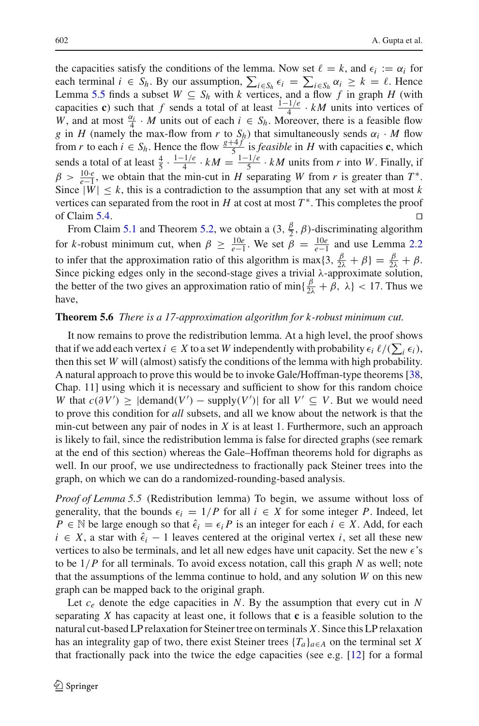the capacities satisfy the conditions of the lemma. Now set  $\ell = k$ , and  $\epsilon_i := \alpha_i$  for each terminal  $i \in S_h$ . By our assumption,  $\sum_{i \in S_h} \epsilon_i = \sum_{i \in S_h} \alpha_i \ge k = \ell$ . Hence Lemma [5.5](#page-18-2) finds a subset  $W \subseteq S_h$  with *k* vertices, and a flow *f* in graph *H* (with capacities **c**) such that *f* sends a total of at least  $\frac{1-1/e}{4} \cdot kM$  units into vertices of *W*, and at most  $\frac{\alpha_i}{4} \cdot M$  units out of each  $i \in S_h$ . Moreover, there is a feasible flow *g* in *H* (namely the max-flow from *r* to  $S_h$ ) that simultaneously sends  $\alpha_i \cdot M$  flow from *r* to each  $i \in S_h$ . Hence the flow  $\frac{g+4f}{5}$  is *feasible* in *H* with capacities **c**, which sends a total of at least  $\frac{4}{5} \cdot \frac{1-1/e}{4} \cdot kM = \frac{1-1/e}{5} \cdot kM$  units from *r* into *W*. Finally, if  $\beta > \frac{10 \cdot e}{e-1}$ , we obtain that the min-cut in *H* separating *W* from *r* is greater than *T*<sup>\*</sup>. Since  $|W| \leq k$ , this is a contradiction to the assumption that any set with at most k vertices can separated from the root in  $H$  at cost at most  $T^*$ . This completes the proof of Claim [5.4.](#page-18-1)  $\Box$ 

From Claim [5.1](#page-17-2) and Theorem [5.2,](#page-17-1) we obtain a  $(3, \frac{\beta}{2}, \beta)$ -discriminating algorithm for *k*-robust minimum cut, when  $\beta \geq \frac{10e}{e-1}$ . We set  $\beta = \frac{10e}{e-1}$  and use Lemma [2.2](#page-7-0) to infer that the approximation ratio of this algorithm is max $\{3, \frac{\beta}{2\lambda} + \beta\} = \frac{\beta}{2\lambda} + \beta$ . Since picking edges only in the second-stage gives a trivial  $\lambda$ -approximate solution, the better of the two gives an approximation ratio of min $\{\frac{\beta}{2\lambda} + \beta, \lambda\} < 17$ . Thus we have,

## **Theorem 5.6** *There is a 17-approximation algorithm for k-robust minimum cut.*

It now remains to prove the redistribution lemma. At a high level, the proof shows that if we add each vertex  $i \in X$  to a set W independently with probability  $\epsilon_i \ell/(\sum_i \epsilon_i)$ , then this set *W* will (almost) satisfy the conditions of the lemma with high probability. A natural approach to prove this would be to invoke Gale/Hoffman-type theorems [\[38,](#page-32-24) Chap. 11] using which it is necessary and sufficient to show for this random choice *W* that  $c(\partial V') \geq |\text{demand}(V') - \text{supply}(V')|$  for all  $V' \subseteq V$ . But we would need to prove this condition for *all* subsets, and all we know about the network is that the min-cut between any pair of nodes in *X* is at least 1. Furthermore, such an approach is likely to fail, since the redistribution lemma is false for directed graphs (see remark at the end of this section) whereas the Gale–Hoffman theorems hold for digraphs as well. In our proof, we use undirectedness to fractionally pack Steiner trees into the graph, on which we can do a randomized-rounding-based analysis.

*Proof of Lemma 5.5* (Redistribution lemma) To begin, we assume without loss of generality, that the bounds  $\epsilon_i = 1/P$  for all  $i \in X$  for some integer P. Indeed, let *P* ∈ N be large enough so that  $\hat{\epsilon}_i = \epsilon_i P$  is an integer for each  $i \in X$ . Add, for each  $i \in X$ , a star with  $\hat{\epsilon}_i - 1$  leaves centered at the original vertex *i*, set all these new vertices to also be terminals, and let all new edges have unit capacity. Set the new  $\epsilon$ 's to be 1/*P* for all terminals. To avoid excess notation, call this graph *N* as well; note that the assumptions of the lemma continue to hold, and any solution *W* on this new graph can be mapped back to the original graph.

Let  $c_e$  denote the edge capacities in *N*. By the assumption that every cut in *N* separating *X* has capacity at least one, it follows that **c** is a feasible solution to the natural cut-based LP relaxation for Steiner tree on terminals *X*. Since this LP relaxation has an integrality gap of two, there exist Steiner trees  ${T_a}_{a \in A}$  on the terminal set *X* that fractionally pack into the twice the edge capacities (see e.g. [\[12\]](#page-31-14) for a formal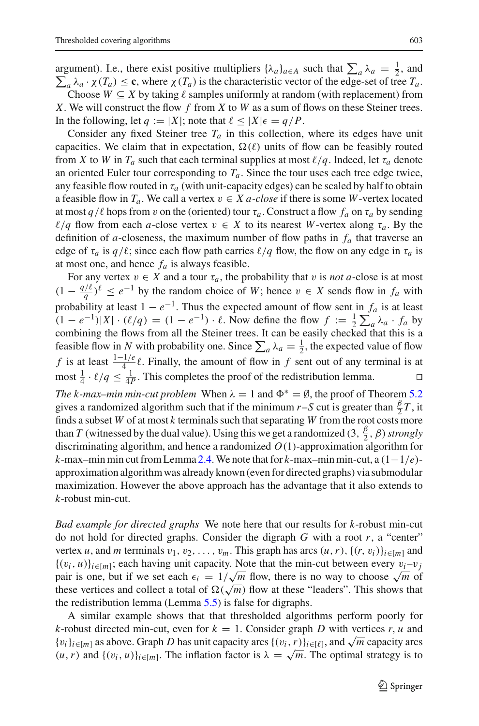argument). I.e., there exist positive multipliers  $\{\lambda_a\}_{a \in A}$  such that  $\sum_a \lambda_a = \frac{1}{2}$ , and  $\sum_a \lambda_a \cdot \chi(T_a) \leq \mathbf{c}$ , where  $\chi(T_a)$  is the characteristic vector of the edge-set of tree  $T_a$ . Choose  $W \subseteq X$  by taking  $\ell$  samples uniformly at random (with replacement) from

*X*. We will construct the flow *f* from *X* to *W* as a sum of flows on these Steiner trees. In the following, let  $q := |X|$ ; note that  $\ell \leq |X| \epsilon = q/P$ .

Consider any fixed Steiner tree  $T_a$  in this collection, where its edges have unit capacities. We claim that in expectation,  $\Omega(\ell)$  units of flow can be feasibly routed from *X* to *W* in  $T_a$  such that each terminal supplies at most  $\ell/q$ . Indeed, let  $\tau_a$  denote an oriented Euler tour corresponding to  $T_a$ . Since the tour uses each tree edge twice, any feasible flow routed in  $\tau_a$  (with unit-capacity edges) can be scaled by half to obtain a feasible flow in  $T_a$ . We call a vertex  $v \in X$  *a-close* if there is some *W*-vertex located at most *q*/ $\ell$  hops from *v* on the (oriented) tour  $\tau_a$ . Construct a flow  $f_a$  on  $\tau_a$  by sending  $\ell/q$  flow from each *a*-close vertex  $v \in X$  to its nearest *W*-vertex along  $\tau_a$ . By the definition of *a*-closeness, the maximum number of flow paths in  $f_a$  that traverse an edge of  $\tau_a$  is  $q/\ell$ ; since each flow path carries  $\ell/q$  flow, the flow on any edge in  $\tau_a$  is at most one, and hence  $f_a$  is always feasible.

For any vertex  $v \in X$  and a tour  $\tau_a$ , the probability that v is *not a*-close is at most  $(1 - \frac{q}{\ell})^{\ell}$  ≤  $e^{-1}$  by the random choice of *W*; hence  $v \in X$  sends flow in  $f_a$  with probability at least  $1 - e^{-1}$ . Thus the expected amount of flow sent in  $f_a$  is at least  $(1 - e^{-1})|X| \cdot (\ell/q) = (1 - e^{-1}) \cdot \ell$ . Now define the flow  $f := \frac{1}{2} \sum_a \lambda_a \cdot f_a$  by combining the flows from all the Steiner trees. It can be easily checked that this is a feasible flow in *N* with probability one. Since  $\sum_a \lambda_a = \frac{1}{2}$ , the expected value of flow *f* is at least  $\frac{1-1/e}{4}$ . Finally, the amount of flow in *f* sent out of any terminal is at most  $\frac{1}{4} \cdot \ell/q \le \frac{1}{4P}$ . This completes the proof of the redistribution lemma.

*The k-max–min min-cut problem* When  $\lambda = 1$  and  $\Phi^* = \emptyset$ , the proof of Theorem [5.2](#page-17-1) gives a randomized algorithm such that if the minimum *r*–*S* cut is greater than  $\frac{\beta}{2}T$ , it finds a subset *W* of at most *k* terminals such that separating *W* from the root costs more than *T* (witnessed by the dual value). Using this we get a randomized  $(3, \frac{\beta}{2}, \beta)$ *strongly* discriminating algorithm, and hence a randomized *O*(1)-approximation algorithm for *k*-max–min min cut from Lemma [2.4.](#page-8-2)We note that for *k*-max–min min-cut, a (1−1/*e*) approximation algorithm was already known (even for directed graphs) via submodular maximization. However the above approach has the advantage that it also extends to *k*-robust min-cut.

*Bad example for directed graphs* We note here that our results for *k*-robust min-cut do not hold for directed graphs. Consider the digraph *G* with a root *r*, a "center" vertex *u*, and *m* terminals  $v_1, v_2, \ldots, v_m$ . This graph has arcs  $(u, r)$ ,  $\{(r, v_i)\}_{i \in [m]}$  and  $\{(v_i, u)\}_{i \in [m]}$ ; each having unit capacity. Note that the min-cut between every  $v_i-v_j$  $\{v_i, u_j\}_{i \in [m]}$ , each having unit capacity. Note that the film-cut between every  $v_i-v_j$  pair is one, but if we set each  $\epsilon_i = 1/\sqrt{m}$  flow, there is no way to choose  $\sqrt{m}$  of these vertices and collect a total of  $\Omega(\sqrt{m})$  flow at these "leaders". This shows that the redistribution lemma (Lemma [5.5\)](#page-18-2) is false for digraphs.

A similar example shows that that thresholded algorithms perform poorly for *k*-robust directed min-cut, even for  $k = 1$ . Consider graph *D* with vertices *r*, *u* and  ${v_i}_{i \in [m]}$  as above. Graph *D* has unit capacity arcs  ${(v_i, r)}_{i \in [l]}$ , and  $\sqrt{m}$  capacity arcs  $(u, r)$  and  $\{(v_i, u)\}_{i \in [m]}$ . The inflation factor is  $\lambda = \sqrt{m}$ . The optimal strategy is to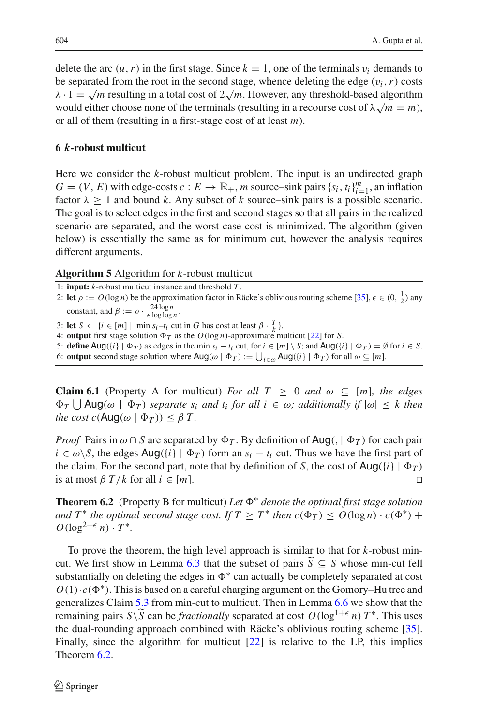delete the arc  $(u, r)$  in the first stage. Since  $k = 1$ , one of the terminals  $v_i$  demands to be separated from the root in the second stage, whence deleting the edge  $(v_i, r)$  costs  $\lambda \cdot 1 = \sqrt{m}$  resulting in a total cost of  $2\sqrt{m}$ . However, any threshold-based algorithm  $\lambda$  ⋅ 1 =  $\sqrt{m}$  resulting in a total cost of  $2\sqrt{m}$ . However, any threshold-based algorithmic would either choose none of the terminals (resulting in a recourse cost of  $\lambda\sqrt{m} = m$ ), or all of them (resulting in a first-stage cost of at least *m*).

## <span id="page-21-0"></span>**6** *k***-robust multicut**

Here we consider the *k*-robust multicut problem. The input is an undirected graph  $G = (V, E)$  with edge-costs  $c : E \to \mathbb{R}_+$ , *m* source–sink pairs  $\{s_i, t_i\}_{i=1}^m$ , an inflation factor  $\lambda \geq 1$  and bound *k*. Any subset of *k* source–sink pairs is a possible scenario. The goal is to select edges in the first and second stages so that all pairs in the realized scenario are separated, and the worst-case cost is minimized. The algorithm (given below) is essentially the same as for minimum cut, however the analysis requires different arguments.

**Algorithm 5** Algorithm for *k*-robust multicut

- 1: **input:** *k*-robust multicut instance and threshold *T* .
- 2: **let**  $\rho := O(\log n)$  be the approximation factor in Räcke's oblivious routing scheme [\[35\]](#page-32-6),  $\epsilon \in (0, \frac{1}{2})$  any constant, and  $\beta := \rho \cdot \frac{24 \log n}{\epsilon \log \log n}$ .
- 3: **let**  $S \leftarrow \{i \in [m] \mid \min s_i t_i \text{ cut in } G \text{ has cost at least } \beta \cdot \frac{T}{k} \}.$
- 4: **output** first stage solution  $\Phi_T$  as the  $O(\log n)$ -approximate multicut [\[22](#page-32-10)] for *S*.
- 5: **define**  $\text{Aug}(\{i\} | \Phi_T)$  as edges in the min  $s_i t_i$  cut, for  $i \in [m] \setminus S$ ; and  $\text{Aug}(\{i\} | \Phi_T) = \emptyset$  for  $i \in S$ .
- <span id="page-21-2"></span>6: **output** second stage solution where  $\text{Aug}(\omega | \Phi_T) := \bigcup_{i \in \omega} \text{Aug}(\{i\} | \Phi_T)$  for all  $\omega \subseteq [m]$ .

**Claim 6.1** (Property A for multicut) *For all*  $T \ge 0$  *and*  $\omega \subseteq [m]$ *, the edges*  $\Phi_T \bigcup \text{Aug}(\omega \mid \Phi_T)$  *separate s<sub>i</sub> and t<sub>i</sub> for all i*  $\in \omega$ *; additionally if*  $|\omega| \leq k$  *then the cost c*( $\text{Aug}(\omega | \Phi_T)$ )  $\leq \beta T$ .

*Proof* Pairs in  $\omega \cap S$  are separated by  $\Phi_T$ . By definition of Aug(,  $|\Phi_T|$ ) for each pair *i* ∈  $\omega$ \*S*, the edges Aug({*i*} |  $\Phi$ <sub>*T*</sub>) form an *s<sub>i</sub>* − *t<sub>i</sub>* cut. Thus we have the first part of the claim. For the second part, note that by definition of *S*, the cost of  $\text{Aug}(\{i\} | \Phi_T)$ is at most  $\beta T/k$  for all  $i \in [m]$ .

<span id="page-21-1"></span>**Theorem 6.2** (Property B for multicut) *Let* <sup>∗</sup> *denote the optimal first stage solution and*  $T^*$  *the optimal second stage cost. If*  $T \geq T^*$  *then*  $c(\Phi_T) \leq O(\log n) \cdot c(\Phi^*)$  +  $O(\log^{2+\epsilon} n) \cdot T^*$ .

To prove the theorem, the high level approach is similar to that for *k*-robust min-cut. We first show in Lemma [6.3](#page-22-0) that the subset of pairs  $\tilde{S} \subseteq S$  whose min-cut fell substantially on deleting the edges in  $\Phi^*$  can actually be completely separated at cost  $O(1) \cdot c(\Phi^*)$ . This is based on a careful charging argument on the Gomory–Hu tree and generalizes Claim [5.3](#page-18-0) from min-cut to multicut. Then in Lemma [6.6](#page-23-0) we show that the remaining pairs *S*\*S* can be *fractionally* separated at cost  $O(\log^{1+\epsilon} n) T^*$ . This uses the dual-rounding approach combined with Räcke's oblivious routing scheme [\[35](#page-32-6)]. Finally, since the algorithm for multicut [\[22\]](#page-32-10) is relative to the LP, this implies Theorem [6.2.](#page-21-1)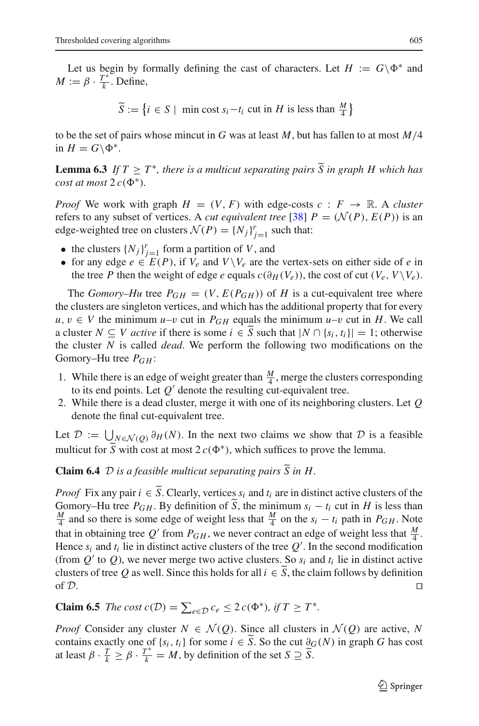Let us begin by formally defining the cast of characters. Let  $H := G \backslash \Phi^*$  and  $M := \beta \cdot \frac{T^*}{k}$ . Define,

 $\widetilde{S} := \{ i \in S \mid \text{ min cost } s_i - t_i \text{ cut in } H \text{ is less than } \frac{M}{4} \}$ 

<span id="page-22-0"></span>to be the set of pairs whose mincut in *G* was at least *M*, but has fallen to at most *M*/4 in  $H = G \backslash \Phi^*$ .

**Lemma 6.3** *If*  $T \geq T^*$ *, there is a multicut separating pairs*  $\widetilde{S}$  *in graph H which has cost at most*  $2c(\Phi^*)$ *.* 

*Proof* We work with graph  $H = (V, F)$  with edge-costs  $c : F \rightarrow \mathbb{R}$ . A *cluster* refers to any subset of vertices. A *cut equivalent tree* [\[38](#page-32-24)]  $P = (\mathcal{N}(P), E(P))$  is an edge-weighted tree on clusters  $\mathcal{N}(P) = \{N_j\}_{j=1}^r$  such that:

- the clusters  $\{N_j\}_{j=1}^r$  form a partition of *V*, and
- for any edge  $e \in E(P)$ , if  $V_e$  and  $V \setminus V_e$  are the vertex-sets on either side of *e* in the tree *P* then the weight of edge *e* equals  $c(\partial_H(V_e))$ , the cost of cut  $(V_e, V \setminus V_e)$ .

The *Gomory–Hu* tree  $P_{GH} = (V, E(P_{GH}))$  of *H* is a cut-equivalent tree where the clusters are singleton vertices, and which has the additional property that for every *u*, *v* ∈ *V* the minimum *u*–*v* cut in  $P_{GH}$  equals the minimum *u*–*v* cut in *H*. We call a cluster  $N \subseteq V$  active if there is some  $i \in \overline{S}$  such that  $|N \cap \{s_i, t_i\}| = 1$ ; otherwise the cluster *N* is called *dead*. We perform the following two modifications on the Gomory–Hu tree  $P_{GH}$ :

- 1. While there is an edge of weight greater than  $\frac{M}{4}$ , merge the clusters corresponding to its end points. Let  $Q'$  denote the resulting cut-equivalent tree.
- 2. While there is a dead cluster, merge it with one of its neighboring clusters. Let *Q* denote the final cut-equivalent tree.

Let  $\mathcal{D} := \bigcup_{N \in \mathcal{N}(Q)} \partial_H(N)$ . In the next two claims we show that  $\mathcal{D}$  is a feasible multicut for  $\tilde{S}$  with cost at most  $2 c(\Phi^*)$ , which suffices to prove the lemma.

<span id="page-22-1"></span>**Claim 6.4** *D is a feasible multicut separating pairs*  $\widetilde{S}$  *in H.* 

*Proof* Fix any pair  $i \in \tilde{S}$ . Clearly, vertices  $s_i$  and  $t_i$  are in distinct active clusters of the Gomory–Hu tree  $P_{GH}$ . By definition of  $\tilde{S}$ , the minimum  $s_i - t_i$  cut in *H* is less than  $\frac{M}{4}$  and so there is some edge of weight less that  $\frac{M}{4}$  on the  $s_i - t_i$  path in  $P_{GH}$ . Note that in obtaining tree  $Q'$  from  $P_{GH}$ , we never contract an edge of weight less that  $\frac{M}{4}$ . Hence  $s_i$  and  $t_i$  lie in distinct active clusters of the tree  $Q'$ . In the second modification (from  $Q'$  to  $Q$ ), we never merge two active clusters. So  $s_i$  and  $t_i$  lie in distinct active clusters of tree *Q* as well. Since this holds for all  $i \in \overline{S}$ , the claim follows by definition of *D*. of  $D$ .

<span id="page-22-2"></span>**Claim 6.5** *The cost*  $c(D) = \sum_{e \in D} c_e \leq 2 c(\Phi^*), \text{ if } T \geq T^*$ .

*Proof* Consider any cluster  $N \in \mathcal{N}(Q)$ . Since all clusters in  $\mathcal{N}(Q)$  are active, N contains exactly one of  $\{s_i, t_i\}$  for some  $i \in \tilde{S}$ . So the cut  $\partial_G(N)$  in graph *G* has cost at least  $\beta \cdot \frac{T}{k} \ge \beta \cdot \frac{T^*}{k} = M$ , by definition of the set  $S \supseteq \widetilde{S}$ .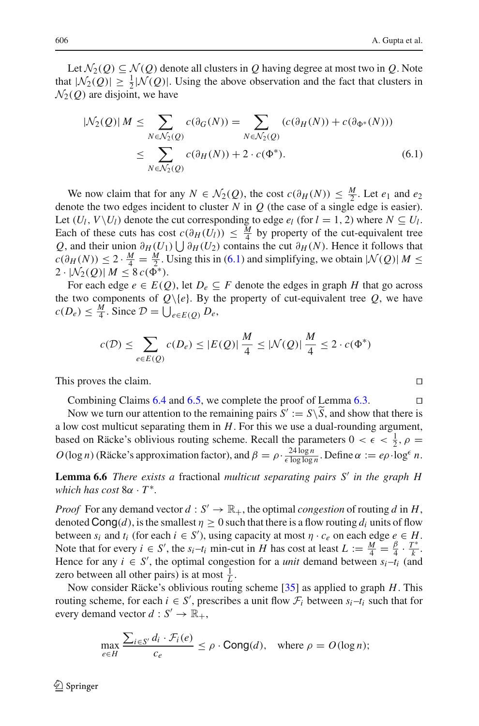<span id="page-23-1"></span>Let  $\mathcal{N}_2(Q) \subseteq \mathcal{N}(Q)$  denote all clusters in *Q* having degree at most two in *Q*. Note that  $|N_2(Q)| \ge \frac{1}{2} |N(Q)|$ . Using the above observation and the fact that clusters in  $\mathcal{N}_2(Q)$  are disjoint, we have

$$
|\mathcal{N}_2(Q)| M \leq \sum_{N \in \mathcal{N}_2(Q)} c(\partial_G(N)) = \sum_{N \in \mathcal{N}_2(Q)} (c(\partial_H(N)) + c(\partial_{\Phi^*}(N)))
$$
  

$$
\leq \sum_{N \in \mathcal{N}_2(Q)} c(\partial_H(N)) + 2 \cdot c(\Phi^*).
$$
 (6.1)

We now claim that for any  $N \in \mathcal{N}_2(\mathcal{Q})$ , the cost  $c(\partial_H(N)) \leq \frac{M}{2}$ . Let  $e_1$  and  $e_2$ denote the two edges incident to cluster  $N$  in  $Q$  (the case of a single edge is easier). Let  $(U_l, V \setminus U_l)$  denote the cut corresponding to edge  $e_l$  (for  $l = 1, 2$ ) where  $N \subseteq U_l$ . Each of these cuts has cost  $c(\partial_H(U_l)) \leq \frac{M}{4}$  by property of the cut-equivalent tree *Q*, and their union  $\partial$ *H*(*U*<sub>1</sub>)  $\bigcup \partial$ *H*(*U*<sub>2</sub>) contains the cut  $\partial$ *H*(*N*). Hence it follows that  $c(\partial_H(N)) \leq 2 \cdot \frac{M}{4} = \frac{M}{2}$ . Using this in [\(6.1\)](#page-23-1) and simplifying, we obtain  $|\mathcal{N}(Q)| M \leq$ 2 ·  $|\mathcal{N}_2(Q)| M \leq 8 c(\bar{\Phi^*}).$ 

For each edge  $e \in E(Q)$ , let  $D_e \subseteq F$  denote the edges in graph *H* that go across the two components of  $Q\{e\}$ . By the property of cut-equivalent tree  $Q$ , we have  $c(D_e) \leq \frac{M}{4}$ . Since  $\mathcal{D} = \bigcup_{e \in E(Q)} D_e$ ,

$$
c(\mathcal{D}) \le \sum_{e \in E(Q)} c(D_e) \le |E(Q)| \frac{M}{4} \le |\mathcal{N}(Q)| \frac{M}{4} \le 2 \cdot c(\Phi^*)
$$

This proves the claim.

Combining Claims  $6.4$  and  $6.5$ , we complete the proof of Lemma  $6.3$ .

Now we turn our attention to the remaining pairs  $S' := S \setminus \overline{S}$ , and show that there is a low cost multicut separating them in *H*. For this we use a dual-rounding argument, based on Räcke's oblivious routing scheme. Recall the parameters  $0 < \epsilon < \frac{1}{2}$ ,  $\rho =$  $O(\log n)$  (Räcke's approximation factor), and  $\beta = \rho \cdot \frac{24 \log n}{\epsilon \log \log n}$ . Define  $\alpha := e \rho \cdot \log^{\epsilon} n$ .

<span id="page-23-0"></span>**Lemma 6.6** *There exists a* fractional *multicut separating pairs S in the graph H which has cost* 8α · *T* <sup>∗</sup>*.*

*Proof* For any demand vector  $d : S' \to \mathbb{R}_+$ , the optimal *congestion* of routing *d* in *H*, denoted  $\text{Cong}(d)$ , is the smallest  $\eta \geq 0$  such that there is a flow routing  $d_i$  units of flow between  $s_i$  and  $t_i$  (for each  $i \in S'$ ), using capacity at most  $\eta \cdot c_e$  on each edge  $e \in H$ . Note that for every  $i \in S'$ , the  $s_i-t_i$  min-cut in *H* has cost at least  $L := \frac{M}{4} = \frac{\beta}{4} \cdot \frac{T^*}{k}$ . Hence for any  $i \in S'$ , the optimal congestion for a *unit* demand between  $s_i - t_i$  (and zero between all other pairs) is at most  $\frac{1}{L}$ .

Now consider Räcke's oblivious routing scheme [\[35](#page-32-6)] as applied to graph *H*. This routing scheme, for each  $i \in S'$ , prescribes a unit flow  $\mathcal{F}_i$  between  $s_i-t_i$  such that for every demand vector  $d: S' \to \mathbb{R}_+,$ 

$$
\max_{e \in H} \frac{\sum_{i \in S'} d_i \cdot \mathcal{F}_i(e)}{c_e} \le \rho \cdot \text{Cong}(d), \quad \text{where } \rho = O(\log n);
$$

$$
\Box
$$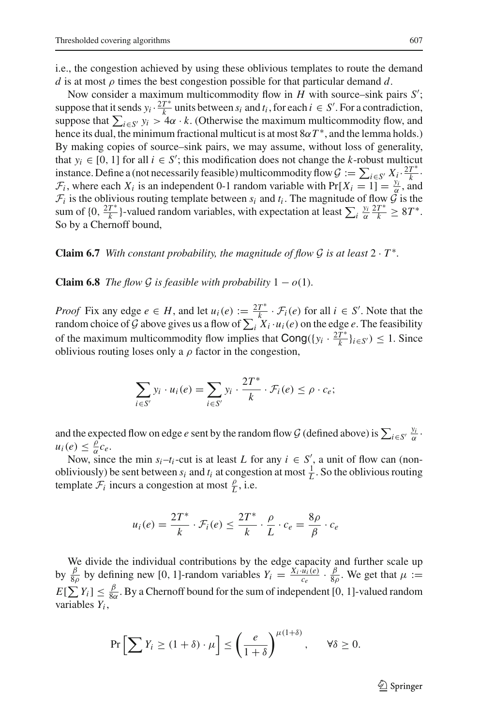i.e., the congestion achieved by using these oblivious templates to route the demand *d* is at most  $\rho$  times the best congestion possible for that particular demand *d*.

Now consider a maximum multicommodity flow in *H* with source–sink pairs *S*<sup>'</sup>; suppose that it sends  $y_i \cdot \frac{2T^*}{k}$  units between  $s_i$  and  $t_i$ , for each  $i \in S'$ . For a contradiction, suppose that  $\sum_{i \in S'} y_i > 4\alpha \cdot k$ . (Otherwise the maximum multicommodity flow, and hence its dual, the minimum fractional multicut is at most  $8\alpha T^*$ , and the lemma holds.) By making copies of source–sink pairs, we may assume, without loss of generality, that  $y_i \in [0, 1]$  for all  $i \in S'$ ; this modification does not change the *k*-robust multicut instance. Define a (not necessarily feasible) multicommodity flow  $G := \sum_{i \in S'} X_i \cdot \frac{2T^*}{k}$  $\mathcal{F}_i$ , where each  $X_i$  is an independent 0-1 random variable with  $\Pr[X_i = 1] = \frac{y_i}{\alpha}$ , and  $\mathcal{F}_i$  is the oblivious routing template between  $s_i$  and  $t_i$ . The magnitude of flow  $\tilde{\mathcal{G}}$  is the sum of  $\{0, \frac{2T^*}{k}\}\$ -valued random variables, with expectation at least  $\sum_i \frac{y_i}{\alpha} \frac{2T^*}{k} \geq 8T^*$ . So by a Chernoff bound,

<span id="page-24-0"></span>**Claim 6.7** *With constant probability, the magnitude of flow G is at least*  $2 \cdot T^*$ *.* 

<span id="page-24-1"></span>**Claim 6.8** *The flow G is feasible with probability*  $1 - o(1)$ *.* 

*Proof* Fix any edge  $e \in H$ , and let  $u_i(e) := \frac{2T^*}{k} \cdot \mathcal{F}_i(e)$  for all  $i \in S'$ . Note that the random choice of *G* above gives us a flow of  $\sum_i X_i \cdot u_i(e)$  on the edge *e*. The feasibility of the maximum multicommodity flow implies that  $\text{Cong}(\lbrace y_i \cdot \frac{2T^*}{k} \rbrace_{i \in S'}) \leq 1$ . Since oblivious routing loses only a  $\rho$  factor in the congestion,

$$
\sum_{i \in S'} y_i \cdot u_i(e) = \sum_{i \in S'} y_i \cdot \frac{2T^*}{k} \cdot \mathcal{F}_i(e) \le \rho \cdot c_e;
$$

and the expected flow on edge *e* sent by the random flow *G* (defined above) is  $\sum_{i \in S'} \frac{y_i}{\alpha}$ .  $u_i(e) \leq \frac{\rho}{\alpha} c_e.$ 

Now, since the min  $s_i-t_i$ -cut is at least *L* for any  $i \in S'$ , a unit of flow can (nonobliviously) be sent between  $s_i$  and  $t_i$  at congestion at most  $\frac{1}{L}$ . So the oblivious routing template  $\mathcal{F}_i$  incurs a congestion at most  $\frac{\rho}{L}$ , i.e.

$$
u_i(e) = \frac{2T^*}{k} \cdot \mathcal{F}_i(e) \le \frac{2T^*}{k} \cdot \frac{\rho}{L} \cdot c_e = \frac{8\rho}{\beta} \cdot c_e
$$

We divide the individual contributions by the edge capacity and further scale up by  $\frac{\beta}{8\rho}$  by defining new [0, 1]-random variables  $Y_i = \frac{X_i \cdot \hat{u_i}(e)}{c_e} \cdot \frac{\beta}{8\rho}$ . We get that  $\mu :=$  $E[\sum Y_i] \leq \frac{\beta}{8\alpha}$ . By a Chernoff bound for the sum of independent [0, 1]-valued random variables *Yi* ,

$$
\Pr\left[\sum Y_i \ge (1+\delta) \cdot \mu\right] \le \left(\frac{e}{1+\delta}\right)^{\mu(1+\delta)}, \quad \forall \delta \ge 0.
$$

 $\mathcal{L}$  Springer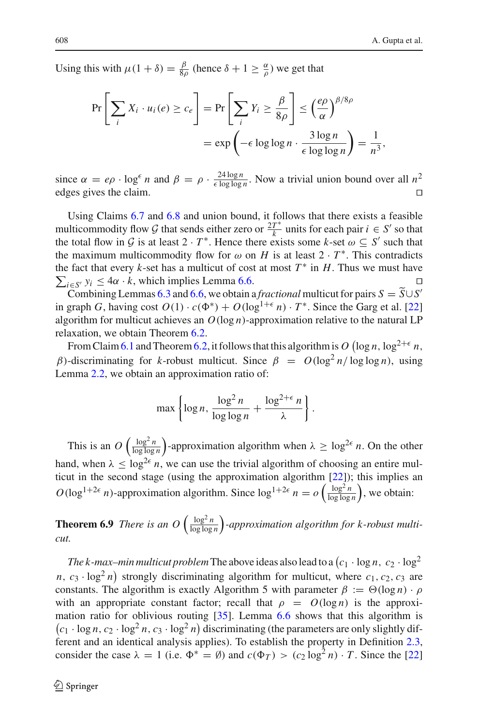Using this with  $\mu(1 + \delta) = \frac{\beta}{8\rho}$  (hence  $\delta + 1 \ge \frac{\alpha}{\rho}$ ) we get that

$$
\Pr\left[\sum_{i} X_{i} \cdot u_{i}(e) \ge c_{e}\right] = \Pr\left[\sum_{i} Y_{i} \ge \frac{\beta}{8\rho}\right] \le \left(\frac{e\rho}{\alpha}\right)^{\beta/8\rho}
$$

$$
= \exp\left(-\epsilon \log \log n \cdot \frac{3\log n}{\epsilon \log \log n}\right) = \frac{1}{n^{3}},
$$

since  $\alpha = e\rho \cdot \log^{\epsilon} n$  and  $\beta = \rho \cdot \frac{24 \log n}{\epsilon \log \log n}$ . Now a trivial union bound over all  $n^2$ edges gives the claim.  $\Box$ 

Using Claims [6.7](#page-24-0) and [6.8](#page-24-1) and union bound, it follows that there exists a feasible multicommodity flow *G* that sends either zero or  $\frac{2T^*}{k}$  units for each pair  $i \in S'$  so that the total flow in  $G$  is at least  $2 \cdot T^*$ . Hence there exists some  $k$ -set  $\omega \subseteq S'$  such that the maximum multicommodity flow for  $\omega$  on *H* is at least  $2 \cdot T^*$ . This contradicts the fact that every  $k$ -set has a multicut of cost at most  $T^*$  in  $H$ . Thus we must have  $\sum_{i \in S'} y_i \leq 4\alpha \cdot k$ , which implies Lemma [6.6.](#page-23-0)

Combining Lemmas [6.3](#page-22-0) and [6.6,](#page-23-0) we obtain a *fractional* multicut for pairs  $S = \tilde{S} \cup S'$ in graph *G*, having cost  $O(1) \cdot c(\Phi^*) + O(\log^{1+\epsilon} n) \cdot T^*$ . Since the Garg et al. [\[22\]](#page-32-10) algorithm for multicut achieves an  $O(\log n)$ -approximation relative to the natural LP relaxation, we obtain Theorem [6.2.](#page-21-1)

From Claim [6.1](#page-21-2) and Theorem [6.2,](#page-21-1) it follows that this algorithm is  $O(\log n, \log^{2+\epsilon} n,$ β)-discriminating for *k*-robust multicut. Since  $β = O(log<sup>2</sup> n / log log n)$ , using Lemma [2.2,](#page-7-0) we obtain an approximation ratio of:

$$
\max\left\{\log n, \frac{\log^2 n}{\log\log n} + \frac{\log^{2+\epsilon} n}{\lambda}\right\}.
$$

This is an  $O\left(\frac{\log^2 n}{\log \log n}\right)$ -approximation algorithm when  $\lambda \ge \log^{2\epsilon} n$ . On the other hand, when  $\lambda \leq \log^{2\epsilon} n$ , we can use the trivial algorithm of choosing an entire multicut in the second stage (using the approximation algorithm [\[22](#page-32-10)]); this implies an  $O(\log^{1+2\epsilon} n)$ -approximation algorithm. Since  $\log^{1+2\epsilon} n = o\left(\frac{\log^2 n}{\log \log n}\right)$ , we obtain:

**Theorem 6.9** *There is an O*  $\left(\frac{\log^2 n}{\log \log n}\right)$ -approximation algorithm for k-robust multi*cut.*

*The k-max–min multicut problem* The above ideas also lead to a  $(c_1 \cdot \log n, \ c_2 \cdot \log^2 n)$  $n, c_3 \cdot \log^2 n$  strongly discriminating algorithm for multicut, where  $c_1, c_2, c_3$  are constants. The algorithm is exactly Algorithm 5 with parameter  $\beta := \Theta(\log n) \cdot \rho$ with an appropriate constant factor; recall that  $\rho = O(\log n)$  is the approximation ratio for oblivious routing  $[35]$  $[35]$ . Lemma [6.6](#page-23-0) shows that this algorithm is  $(c_1 \cdot \log n, c_2 \cdot \log^2 n, c_3 \cdot \log^2 n)$  discriminating (the parameters are only slightly different and an identical analysis applies). To establish the property in Definition [2.3,](#page-8-1) consider the case  $\lambda = 1$  (i.e.  $\Phi^* = \emptyset$ ) and  $c(\Phi_T) > (c_2 \log^2 n) \cdot T$ . Since the [\[22\]](#page-32-10)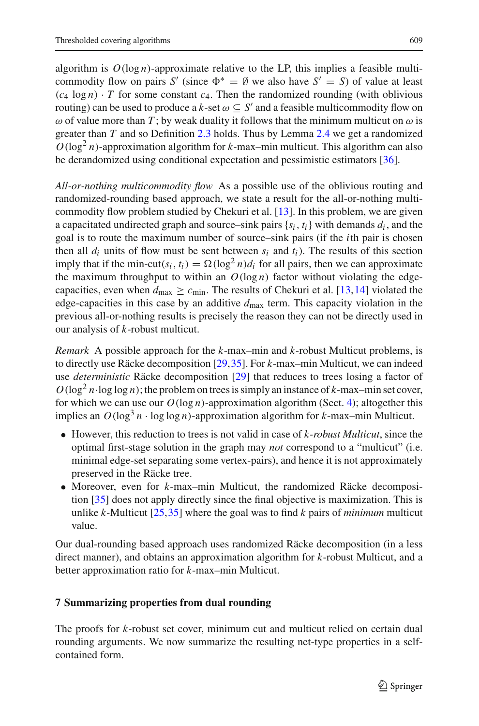algorithm is  $O(\log n)$ -approximate relative to the LP, this implies a feasible multicommodity flow on pairs *S'* (since  $\Phi^* = \emptyset$  we also have *S'* = *S*) of value at least  $(c_4 \log n) \cdot T$  for some constant  $c_4$ . Then the randomized rounding (with oblivious routing) can be used to produce a *k*-set  $\omega \subset S'$  and a feasible multicommodity flow on  $\omega$  of value more than *T*; by weak duality it follows that the minimum multicut on  $\omega$  is greater than *T* and so Definition [2.3](#page-8-1) holds. Thus by Lemma [2.4](#page-8-2) we get a randomized  $O(\log^2 n)$ -approximation algorithm for *k*-max–min multicut. This algorithm can also be derandomized using conditional expectation and pessimistic estimators [\[36\]](#page-32-23).

*All-or-nothing multicommodity flow* As a possible use of the oblivious routing and randomized-rounding based approach, we state a result for the all-or-nothing multicommodity flow problem studied by Chekuri et al. [\[13](#page-31-15)]. In this problem, we are given a capacitated undirected graph and source–sink pairs {*si*, *ti*} with demands *di* , and the goal is to route the maximum number of source–sink pairs (if the *i*th pair is chosen then all  $d_i$  units of flow must be sent between  $s_i$  and  $t_i$ ). The results of this section imply that if the min-cut( $s_i$ ,  $t_i$ ) =  $\Omega(\log^2 n)d_i$  for all pairs, then we can approximate the maximum throughput to within an  $O(\log n)$  factor without violating the edgecapacities, even when  $d_{\text{max}} \ge c_{\text{min}}$ . The results of Chekuri et al. [\[13](#page-31-15), 14] violated the edge-capacities in this case by an additive *d*max term. This capacity violation in the previous all-or-nothing results is precisely the reason they can not be directly used in our analysis of *k*-robust multicut.

*Remark* A possible approach for the *k*-max–min and *k*-robust Multicut problems, is to directly use Räcke decomposition [\[29](#page-32-9)[,35\]](#page-32-6). For *k*-max–min Multicut, we can indeed use *deterministic* Räcke decomposition [\[29](#page-32-9)] that reduces to trees losing a factor of  $O(\log^2 n \cdot \log \log n)$ ; the problem on trees is simply an instance of *k*-max–min set cover, for which we can use our  $O(\log n)$ -approximation algorithm (Sect. [4\)](#page-12-0); altogether this implies an  $O(\log^3 n \cdot \log \log n)$ -approximation algorithm for *k*-max–min Multicut.

- However, this reduction to trees is not valid in case of *k-robust Multicut*, since the optimal first-stage solution in the graph may *not* correspond to a "multicut" (i.e. minimal edge-set separating some vertex-pairs), and hence it is not approximately preserved in the Räcke tree.
- Moreover, even for *k*-max–min Multicut, the randomized Räcke decomposition [\[35\]](#page-32-6) does not apply directly since the final objective is maximization. This is unlike *k*-Multicut [\[25](#page-32-21)[,35](#page-32-6)] where the goal was to find *k* pairs of *minimum* multicut value.

Our dual-rounding based approach uses randomized Räcke decomposition (in a less direct manner), and obtains an approximation algorithm for *k*-robust Multicut, and a better approximation ratio for *k*-max–min Multicut.

## **7 Summarizing properties from dual rounding**

The proofs for *k*-robust set cover, minimum cut and multicut relied on certain dual rounding arguments. We now summarize the resulting net-type properties in a selfcontained form.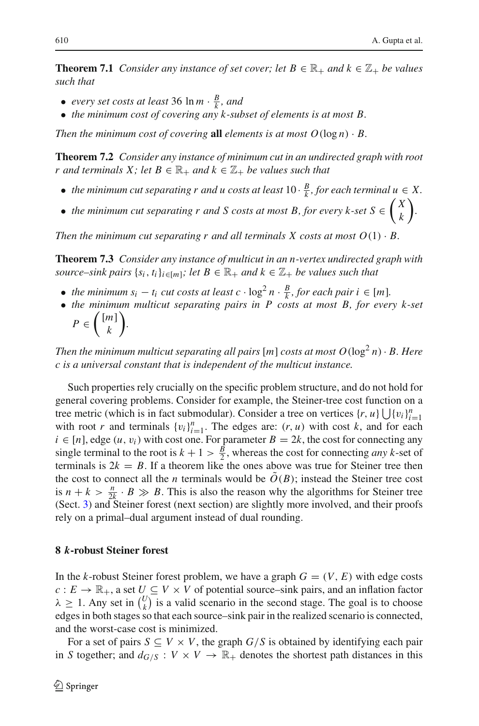**Theorem 7.1** *Consider any instance of set cover; let*  $B \in \mathbb{R}_+$  *and*  $k \in \mathbb{Z}_+$  *be values such that*

- *every set costs at least* 36  $\ln m \cdot \frac{B}{k}$ *, and*
- *the minimum cost of covering any k-subset of elements is at most B.*

*Then the minimum cost of covering* **all** *elements is at most*  $O(\log n) \cdot B$ *.* 

**Theorem 7.2** *Consider any instance of minimum cut in an undirected graph with root r* and terminals *X*; let  $B \in \mathbb{R}_+$  and  $k \in \mathbb{Z}_+$  be values such that

- *the minimum cut separating r and u costs at least*  $10 \cdot \frac{B}{k}$ *, for each terminal u*  $\in X$ *.*
- the minimum cut separating r and S costs at most B, for every k-set  $S \in \left(\begin{array}{c} X \\ E \end{array}\right)$ *k .*

*Then the minimum cut separating r and all terminals X costs at most*  $O(1) \cdot B$ *.* 

**Theorem 7.3** *Consider any instance of multicut in an n-vertex undirected graph with source–sink pairs*  $\{s_i, t_i\}_{i \in [m]}$ ; let  $B \in \mathbb{R}_+$  and  $k \in \mathbb{Z}_+$  be values such that

- *the minimum*  $s_i t_i$  *cut costs at least c* ·  $\log^2 n \cdot \frac{B}{k}$ *, for each pair i*  $\in [m]$ *.*
- *the minimum multicut separating pairs in P costs at most B, for every k-set*
	- $P \in \left(\begin{array}{c} [m] \\ \frac{1}{k} \end{array}\right]$ *k .*

*Then the minimum multicut separating all pairs* [*m*] *costs at most*  $O(\log^2 n) \cdot B$ *. Here c is a universal constant that is independent of the multicut instance.*

Such properties rely crucially on the specific problem structure, and do not hold for general covering problems. Consider for example, the Steiner-tree cost function on a tree metric (which is in fact submodular). Consider a tree on vertices  $\{r, u\} \bigcup \{v_i\}_{i=1}^n$ with root *r* and terminals  $\{v_i\}_{i=1}^n$ . The edges are:  $(r, u)$  with cost *k*, and for each  $i \in [n]$ , edge  $(u, v_i)$  with cost one. For parameter  $B = 2k$ , the cost for connecting any single terminal to the root is  $k + 1 > \frac{B}{2}$ , whereas the cost for connecting *any* k-set of terminals is  $2k = B$ . If a theorem like the ones above was true for Steiner tree then the cost to connect all the *n* terminals would be  $O(B)$ ; instead the Steiner tree cost is  $n + k > \frac{n}{2k} \cdot B \gg B$ . This is also the reason why the algorithms for Steiner tree (Sect. [3\)](#page-9-0) and Steiner forest (next section) are slightly more involved, and their proofs rely on a primal–dual argument instead of dual rounding.

## <span id="page-27-0"></span>**8** *k***-robust Steiner forest**

In the *k*-robust Steiner forest problem, we have a graph  $G = (V, E)$  with edge costs  $c: E \to \mathbb{R}_+$ , a set  $U \subseteq V \times V$  of potential source–sink pairs, and an inflation factor  $\lambda \geq 1$ . Any set in  $\binom{U}{k}$  $\binom{U}{k}$  is a valid scenario in the second stage. The goal is to choose edges in both stages so that each source–sink pair in the realized scenario is connected, and the worst-case cost is minimized.

For a set of pairs  $S \subseteq V \times V$ , the graph  $G/S$  is obtained by identifying each pair in *S* together; and  $d_{G/S}: V \times V \to \mathbb{R}_+$  denotes the shortest path distances in this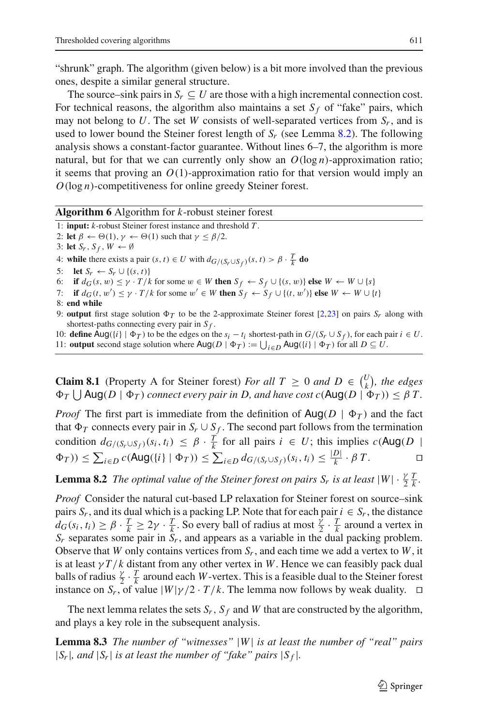"shrunk" graph. The algorithm (given below) is a bit more involved than the previous ones, despite a similar general structure.

The source–sink pairs in  $S_r \subseteq U$  are those with a high incremental connection cost. For technical reasons, the algorithm also maintains a set  $S_f$  of "fake" pairs, which may not belong to U. The set W consists of well-separated vertices from  $S_r$ , and is used to lower bound the Steiner forest length of *Sr* (see Lemma [8.2\)](#page-28-0). The following analysis shows a constant-factor guarantee. Without lines 6–7, the algorithm is more natural, but for that we can currently only show an  $O(\log n)$ -approximation ratio; it seems that proving an  $O(1)$ -approximation ratio for that version would imply an *O*(log *n*)-competitiveness for online greedy Steiner forest.

#### **Algorithm 6** Algorithm for *k*-robust steiner forest

1: **input:** *k*-robust Steiner forest instance and threshold *T* .

2: **let**  $\beta \leftarrow \Theta(1)$ ,  $\gamma \leftarrow \Theta(1)$  such that  $\gamma \leq \beta/2$ .

3: **let**  $S_r$ ,  $S_f$ ,  $W \leftarrow \emptyset$ 

4: **while** there exists a pair  $(s, t) \in U$  with  $d_{G/(S_r \cup S_f)}(s, t) > \beta \cdot \frac{T}{k}$  do

5: **let**  $S_r \leftarrow S_r \cup \{(s, t)\}$ 

6: **if**  $d_G(s, w) \leq \gamma \cdot T/k$  for some  $w \in W$  then  $S_f \leftarrow S_f \cup \{(s, w)\}\)$  else  $W \leftarrow W \cup \{s\}$ 

7: **if**  $d_G(t, w') \le \gamma \cdot T/k$  for some  $w' \in W$  then  $S_f \leftarrow S_f \cup \{(t, w')\}$  else  $W \leftarrow W \cup \{t\}$ 

8: **end while**

9: **output** first stage solution  $\Phi_T$  to be the 2-approximate Steiner forest [\[2](#page-31-7)[,23](#page-32-8)] on pairs  $S_r$  along with shortest-paths connecting every pair in *S f* .

10: **define** Aug({*i*}  $| \Phi_T \rangle$  to be the edges on the  $s_i - t_i$  shortest-path in  $G/(S_r \cup S_f)$ , for each pair  $i \in U$ . 11: **output** second stage solution where  $\text{Aug}(D | \Phi_T) := \bigcup_{i \in D} \text{Aug}(\{i\} | \Phi_T)$  for all  $D \subseteq U$ .

<span id="page-28-2"></span>**Claim 8.1** (Property A for Steiner forest) *For all*  $T \ge 0$  *and*  $D \in \binom{U}{k}$  $\binom{U}{k}$ , the edges  $\Phi_T \bigcup \text{Aug}(D \mid \Phi_T)$  connect every pair in D, and have cost  $c(\text{Aug}(D \mid \Phi_T)) \leq \beta T$ .

*Proof* The first part is immediate from the definition of  $\text{Aug}(D \mid \Phi_T)$  and the fact that  $\Phi_T$  connects every pair in  $S_r \cup S_f$ . The second part follows from the termination condition  $d_{G/(S_r \cup S_f)}(s_i, t_i) \leq \beta \cdot \frac{T}{k}$  for all pairs  $i \in U$ ; this implies  $c(Aug(D))$  $\Phi_T$ )) ≤  $\sum_{i \in D} c(\text{Aug}(\{i\} | \Phi_T))$  ≤  $\sum_{i \in D} d_{G/(S_r \cup S_f)}(s_i, t_i)$  ≤  $\frac{|D|}{k} \cdot \beta T$ . □

<span id="page-28-0"></span>**Lemma 8.2** *The optimal value of the Steiner forest on pairs*  $S_r$  *is at least*  $|W| \cdot \frac{\gamma}{2} \frac{T}{k}$ .

*Proof* Consider the natural cut-based LP relaxation for Steiner forest on source–sink pairs  $S_r$ , and its dual which is a packing LP. Note that for each pair  $i \in S_r$ , the distance  $d_G(s_i, t_i) \ge \beta \cdot \frac{T}{k} \ge 2\gamma \cdot \frac{T}{k}$ . So every ball of radius at most  $\frac{\tilde{\gamma}}{2} \cdot \frac{T}{k}$  around a vertex in *Sr* separates some pair in *Sr*, and appears as a variable in the dual packing problem. Observe that *W* only contains vertices from *Sr*, and each time we add a vertex to *W*, it is at least  $\gamma T/k$  distant from any other vertex in W. Hence we can feasibly pack dual balls of radius  $\frac{\gamma}{2} \cdot \frac{T}{k}$  around each *W*-vertex. This is a feasible dual to the Steiner forest instance on *S<sub>r</sub>*, of value  $|W|\gamma/2 \cdot T/k$ . The lemma now follows by weak duality.  $\Box$ 

The next lemma relates the sets  $S_r$ ,  $S_f$  and *W* that are constructed by the algorithm, and plays a key role in the subsequent analysis.

<span id="page-28-1"></span>**Lemma 8.3** *The number of "witnesses"* |*W*| *is at least the number of "real" pairs*  $|S_r|$ *, and*  $|S_r|$  *is at least the number of "fake" pairs*  $|S_f|$ *.*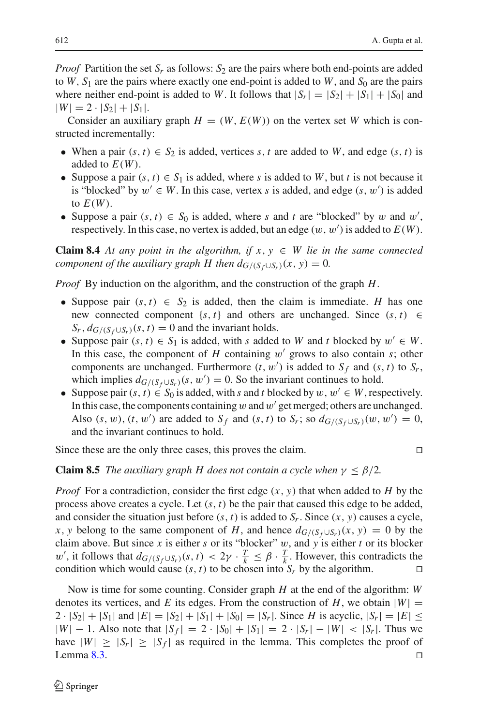*Proof* Partition the set  $S_r$  as follows:  $S_2$  are the pairs where both end-points are added to  $W$ ,  $S_1$  are the pairs where exactly one end-point is added to  $W$ , and  $S_0$  are the pairs where neither end-point is added to *W*. It follows that  $|S_r| = |S_2| + |S_1| + |S_0|$  and  $|W| = 2 \cdot |S_2| + |S_1|$ .

Consider an auxiliary graph  $H = (W, E(W))$  on the vertex set *W* which is constructed incrementally:

- When a pair  $(s, t) \in S_2$  is added, vertices *s*, *t* are added to *W*, and edge  $(s, t)$  is added to  $E(W)$ .
- Suppose a pair  $(s, t) \in S_1$  is added, where *s* is added to *W*, but *t* is not because it is "blocked" by  $w' \in W$ . In this case, vertex *s* is added, and edge  $(s, w')$  is added to  $E(W)$ .
- Suppose a pair  $(s, t) \in S_0$  is added, where *s* and *t* are "blocked" by w and w', respectively. In this case, no vertex is added, but an edge  $(w, w')$  is added to  $E(W)$ .

**Claim 8.4** At any point in the algorithm, if  $x, y \in W$  lie in the same connected *component of the auxiliary graph H then*  $d_{G/(S_f \cup S_r)}(x, y) = 0$ *.* 

*Proof* By induction on the algorithm, and the construction of the graph *H*.

- Suppose pair  $(s, t) \in S_2$  is added, then the claim is immediate. *H* has one new connected component  $\{s, t\}$  and others are unchanged. Since  $(s, t) \in$  $S_r$ ,  $d_{G/(S_f \cup S_r)}(s, t) = 0$  and the invariant holds.
- Suppose pair  $(s, t) \in S_1$  is added, with *s* added to *W* and *t* blocked by  $w' \in W$ . In this case, the component of  $H$  containing  $w'$  grows to also contain  $s$ ; other components are unchanged. Furthermore  $(t, w')$  is added to  $S_f$  and  $(s, t)$  to  $S_r$ , which implies  $d_{G/(S_f \cup S_r)}(s, w') = 0$ . So the invariant continues to hold.
- Suppose pair  $(s, t) \in S_0$  is added, with *s* and *t* blocked by  $w, w' \in W$ , respectively. In this case, the components containing  $w$  and  $w'$  get merged; others are unchanged. Also  $(s, w)$ ,  $(t, w')$  are added to  $S_f$  and  $(s, t)$  to  $S_r$ ; so  $d_{G/(S_f \cup S_r)}(w, w') = 0$ , and the invariant continues to hold.

Since these are the only three cases, this proves the claim.

**Claim 8.5** *The auxiliary graph H does not contain a cycle when*  $\gamma \leq \beta/2$ *.* 

*Proof* For a contradiction, consider the first edge  $(x, y)$  that when added to *H* by the process above creates a cycle. Let (*s*, *t*) be the pair that caused this edge to be added, and consider the situation just before  $(s, t)$  is added to  $S_r$ . Since  $(x, y)$  causes a cycle, *x*, *y* belong to the same component of *H*, and hence  $d_{G/(S_f \cup S_r)}(x, y) = 0$  by the claim above. But since *x* is either *s* or its "blocker"  $w$ , and  $y$  is either *t* or its blocker w', it follows that  $d_{G/(S_f \cup S_r)}(s, t) < 2\gamma \cdot \frac{T}{k} \leq \beta \cdot \frac{T}{k}$ . However, this contradicts the condition which would cause  $(s, t)$  to be chosen into  $S_r$  by the algorithm.

<span id="page-29-0"></span>Now is time for some counting. Consider graph *H* at the end of the algorithm: *W* denotes its vertices, and *E* its edges. From the construction of *H*, we obtain  $|W|$  =  $2 \cdot |S_2| + |S_1|$  and  $|E| = |S_2| + |S_1| + |S_0| = |S_r|$ . Since *H* is acyclic,  $|S_r| = |E| \le$  $|W| - 1$ . Also note that  $|S_f| = 2 \cdot |S_0| + |S_1| = 2 \cdot |S_r| - |W| < |S_r|$ . Thus we have  $|W| \geq |S_r| \geq |S_f|$  as required in the lemma. This completes the proof of Lemma [8.3.](#page-28-1)  $\Box$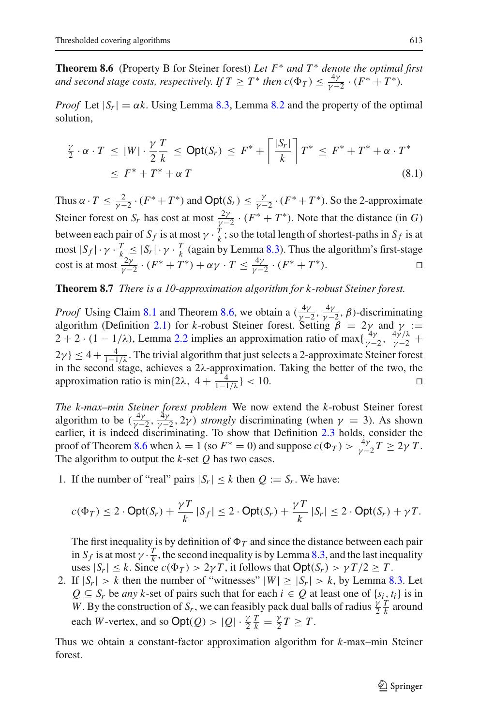**Theorem 8.6** (Property B for Steiner forest) *Let F*<sup>∗</sup> *and T* <sup>∗</sup> *denote the optimal first and second stage costs, respectively. If*  $T \geq T^*$  *then*  $c(\Phi_T) \leq \frac{4\gamma}{\gamma - 2} \cdot (F^* + T^*)$ *.* 

*Proof* Let  $|S_r| = \alpha k$ . Using Lemma [8.3,](#page-28-1) Lemma [8.2](#page-28-0) and the property of the optimal solution,

$$
\frac{\gamma}{2} \cdot \alpha \cdot T \le |W| \cdot \frac{\gamma}{2} \frac{T}{k} \le \text{Opt}(S_r) \le F^* + \left\lceil \frac{|S_r|}{k} \right\rceil T^* \le F^* + T^* + \alpha \cdot T^*
$$
\n
$$
\le F^* + T^* + \alpha T \tag{8.1}
$$

Thus  $\alpha \cdot T \le \frac{2}{\gamma - 2} \cdot (F^* + T^*)$  and  $\text{Opt}(S_r) \le \frac{\gamma}{\gamma - 2} \cdot (F^* + T^*)$ . So the 2-approximate Steiner forest on *S<sub>r</sub>* has cost at most  $\frac{2\gamma}{\gamma-2} \cdot (F^* + T^*)$ . Note that the distance (in *G*) between each pair of  $S_f$  is at most  $\gamma \cdot \frac{T}{k}$ ; so the total length of shortest-paths in  $S_f$  is at most  $|S_f| \cdot \gamma \cdot \frac{T}{k} \leq |S_r| \cdot \gamma \cdot \frac{T}{k}$  (again by Lemma [8.3\)](#page-28-1). Thus the algorithm's first-stage cost is at most  $\frac{2\gamma}{\gamma - 2} \cdot (F^* + T^*) + \alpha \gamma \cdot T \le \frac{4\gamma}{\gamma - 2} \cdot (F^* + T^*)$ .

## **Theorem 8.7** *There is a 10-approximation algorithm for k-robust Steiner forest.*

*Proof* Using Claim [8.1](#page-28-2) and Theorem [8.6,](#page-29-0) we obtain a  $(\frac{4\gamma}{\gamma-2}, \frac{4\gamma}{\gamma-2}, \beta)$ -discriminating algorithm (Definition [2.1\)](#page-6-1) for *k*-robust Steiner forest. Setting  $\beta = 2\gamma$  and  $\gamma$  :=  $2 + 2 \cdot (1 - 1/\lambda)$ , Lemma [2.2](#page-7-0) implies an approximation ratio of max $\{\frac{4\gamma}{\gamma - 2}, \frac{4\gamma/\lambda}{\gamma - 2} + \frac{4\gamma/\lambda}{\gamma - 2}\}$  $2\gamma$ }  $\leq 4 + \frac{4}{1-1/\lambda}$ . The trivial algorithm that just selects a 2-approximate Steiner forest in the second stage, achieves a  $2\lambda$ -approximation. Taking the better of the two, the approximation ratio is min{ $2\lambda$ ,  $4 + \frac{4}{1-1/\lambda}$ } < 10.

*The k-max–min Steiner forest problem* We now extend the *k*-robust Steiner forest algorithm to be  $(\frac{4\gamma}{\gamma-2}, \frac{4\gamma}{\gamma-2}, 2\gamma)$  *strongly* discriminating (when  $\gamma = 3$ ). As shown earlier, it is indeed discriminating. To show that Definition [2.3](#page-8-1) holds, consider the proof of Theorem [8.6](#page-29-0) when  $\lambda = 1$  (so  $F^* = 0$ ) and suppose  $c(\Phi_T) > \frac{4\gamma}{\gamma - 2}T \ge 2\gamma T$ . The algorithm to output the *k*-set *Q* has two cases.

1. If the number of "real" pairs  $|S_r| \le k$  then  $Q := S_r$ . We have:

$$
c(\Phi_T) \le 2 \cdot \mathsf{Opt}(S_r) + \frac{\gamma T}{k} |S_f| \le 2 \cdot \mathsf{Opt}(S_r) + \frac{\gamma T}{k} |S_r| \le 2 \cdot \mathsf{Opt}(S_r) + \gamma T.
$$

The first inequality is by definition of  $\Phi_T$  and since the distance between each pair in *S<sub>f</sub>* is at most  $\gamma \cdot \frac{T}{k}$ , the second inequality is by Lemma [8.3,](#page-28-1) and the last inequality uses  $|S_r| \le k$ . Since  $c(\Phi_T) > 2\gamma T$ , it follows that  $\text{Opt}(S_r) > \gamma T/2 \ge T$ .

2. If  $|S_r| > k$  then the number of "witnesses"  $|W| \ge |S_r| > k$ , by Lemma [8.3.](#page-28-1) Let *Q* ⊆ *S<sub>r</sub>* be *any k*-set of pairs such that for each  $i \in Q$  at least one of {*s<sub>i</sub>*, *t<sub>i</sub>*} is in *W*. By the construction of *S<sub>r</sub>*, we can feasibly pack dual balls of radius  $\frac{\gamma}{2} \frac{T}{k}$  around each *W*-vertex, and so  $Opt(Q) > |Q| \cdot \frac{\gamma}{2k} = \frac{\gamma}{2}T \geq T$ .

Thus we obtain a constant-factor approximation algorithm for *k*-max–min Steiner forest.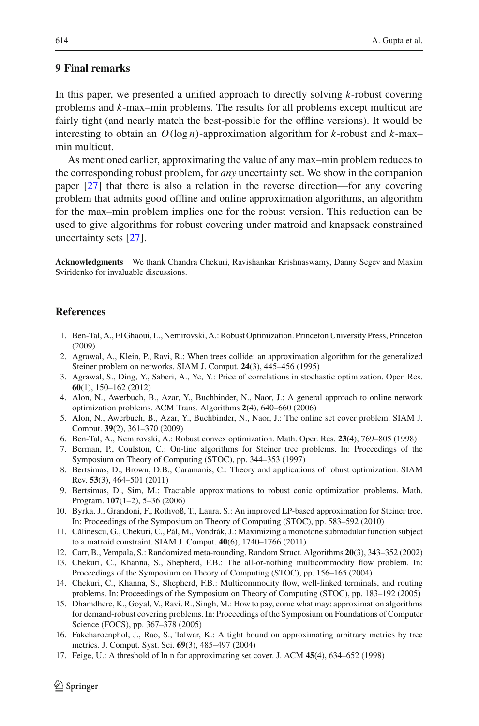## **9 Final remarks**

In this paper, we presented a unified approach to directly solving *k*-robust covering problems and *k*-max–min problems. The results for all problems except multicut are fairly tight (and nearly match the best-possible for the offline versions). It would be interesting to obtain an  $O(\log n)$ -approximation algorithm for *k*-robust and *k*-maxmin multicut.

As mentioned earlier, approximating the value of any max–min problem reduces to the corresponding robust problem, for *any* uncertainty set. We show in the companion paper [\[27](#page-32-0)] that there is also a relation in the reverse direction—for any covering problem that admits good offline and online approximation algorithms, an algorithm for the max–min problem implies one for the robust version. This reduction can be used to give algorithms for robust covering under matroid and knapsack constrained uncertainty sets [\[27\]](#page-32-0).

**Acknowledgments** We thank Chandra Chekuri, Ravishankar Krishnaswamy, Danny Segev and Maxim Sviridenko for invaluable discussions.

#### <span id="page-31-10"></span>**References**

- 1. Ben-Tal, A., El Ghaoui, L., Nemirovski, A.: Robust Optimization. Princeton University Press, Princeton (2009)
- <span id="page-31-7"></span>2. Agrawal, A., Klein, P., Ravi, R.: When trees collide: an approximation algorithm for the generalized Steiner problem on networks. SIAM J. Comput. **24**(3), 445–456 (1995)
- <span id="page-31-13"></span>3. Agrawal, S., Ding, Y., Saberi, A., Ye, Y.: Price of correlations in stochastic optimization. Oper. Res. **60**(1), 150–162 (2012)
- <span id="page-31-9"></span>4. Alon, N., Awerbuch, B., Azar, Y., Buchbinder, N., Naor, J.: A general approach to online network optimization problems. ACM Trans. Algorithms **2**(4), 640–660 (2006)
- <span id="page-31-4"></span>5. Alon, N., Awerbuch, B., Azar, Y., Buchbinder, N., Naor, J.: The online set cover problem. SIAM J. Comput. **39**(2), 361–370 (2009)
- <span id="page-31-1"></span>6. Ben-Tal, A., Nemirovski, A.: Robust convex optimization. Math. Oper. Res. **23**(4), 769–805 (1998)
- <span id="page-31-8"></span>7. Berman, P., Coulston, C.: On-line algorithms for Steiner tree problems. In: Proceedings of the Symposium on Theory of Computing (STOC), pp. 344–353 (1997)
- <span id="page-31-11"></span>8. Bertsimas, D., Brown, D.B., Caramanis, C.: Theory and applications of robust optimization. SIAM Rev. **53**(3), 464–501 (2011)
- <span id="page-31-2"></span>9. Bertsimas, D., Sim, M.: Tractable approximations to robust conic optimization problems. Math. Program. **107**(1–2), 5–36 (2006)
- <span id="page-31-6"></span>10. Byrka, J., Grandoni, F., Rothvoß, T., Laura, S.: An improved LP-based approximation for Steiner tree. In: Proceedings of the Symposium on Theory of Computing (STOC), pp. 583–592 (2010)
- <span id="page-31-3"></span>11. Călinescu, G., Chekuri, C., Pál, M., Vondrák, J.: Maximizing a monotone submodular function subject to a matroid constraint. SIAM J. Comput. **40**(6), 1740–1766 (2011)
- <span id="page-31-15"></span><span id="page-31-14"></span>12. Carr, B., Vempala, S.: Randomized meta-rounding. Random Struct. Algorithms **20**(3), 343–352 (2002)
- 13. Chekuri, C., Khanna, S., Shepherd, F.B.: The all-or-nothing multicommodity flow problem. In: Proceedings of the Symposium on Theory of Computing (STOC), pp. 156–165 (2004)
- <span id="page-31-16"></span>14. Chekuri, C., Khanna, S., Shepherd, F.B.: Multicommodity flow, well-linked terminals, and routing problems. In: Proceedings of the Symposium on Theory of Computing (STOC), pp. 183–192 (2005)
- <span id="page-31-0"></span>15. Dhamdhere, K., Goyal, V., Ravi. R., Singh, M.: How to pay, come what may: approximation algorithms for demand-robust covering problems. In: Proceedings of the Symposium on Foundations of Computer Science (FOCS), pp. 367–378 (2005)
- <span id="page-31-12"></span>16. Fakcharoenphol, J., Rao, S., Talwar, K.: A tight bound on approximating arbitrary metrics by tree metrics. J. Comput. Syst. Sci. **69**(3), 485–497 (2004)
- <span id="page-31-5"></span>17. Feige, U.: A threshold of ln n for approximating set cover. J. ACM **45**(4), 634–652 (1998)